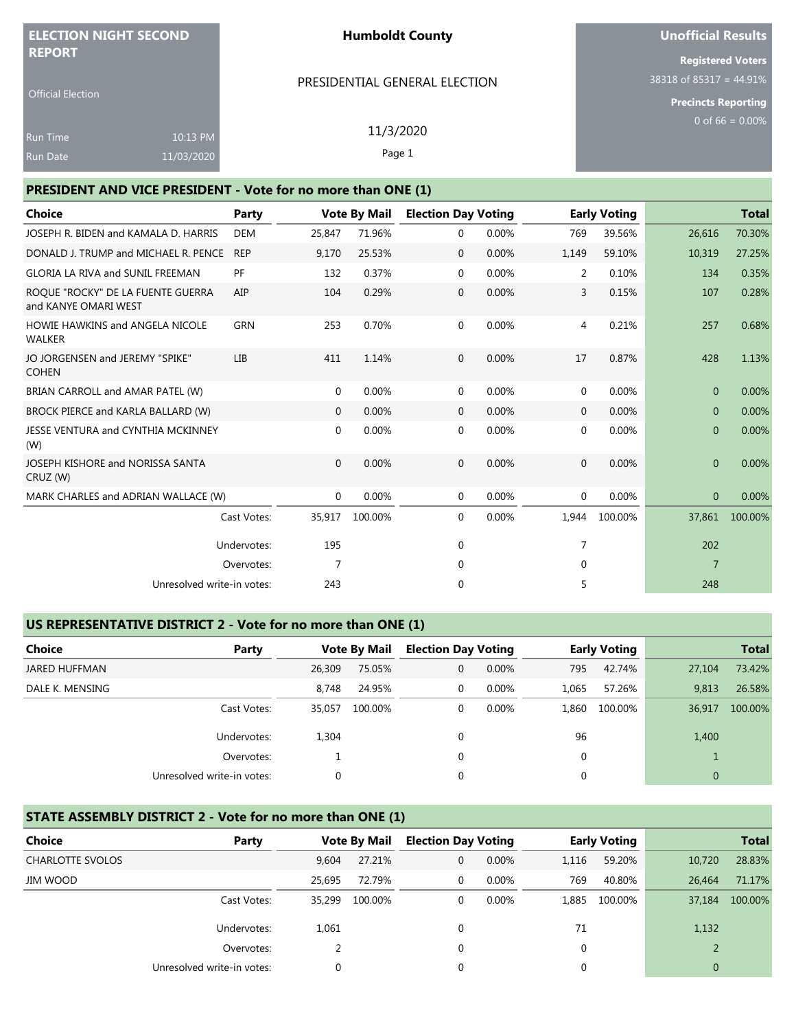| <b>ELECTION NIGHT SECOND</b>                                 |            |            |                                                   |           | <b>Humboldt County</b>        |                     |              |                              | <b>Unofficial Results</b>  |                    |  |
|--------------------------------------------------------------|------------|------------|---------------------------------------------------|-----------|-------------------------------|---------------------|--------------|------------------------------|----------------------------|--------------------|--|
| <b>REPORT</b>                                                |            |            |                                                   |           |                               |                     |              |                              | <b>Registered Voters</b>   |                    |  |
|                                                              |            |            |                                                   |           | PRESIDENTIAL GENERAL ELECTION |                     |              | $38318$ of $85317 = 44.91\%$ |                            |                    |  |
| <b>Official Election</b>                                     |            |            |                                                   |           |                               |                     |              |                              | <b>Precincts Reporting</b> |                    |  |
|                                                              |            |            |                                                   |           |                               |                     |              |                              |                            | 0 of $66 = 0.00\%$ |  |
| <b>Run Time</b>                                              | 10:13 PM   |            |                                                   | 11/3/2020 |                               |                     |              |                              |                            |                    |  |
| <b>Run Date</b>                                              | 11/03/2020 |            |                                                   | Page 1    |                               |                     |              |                              |                            |                    |  |
|                                                              |            |            |                                                   |           |                               |                     |              |                              |                            |                    |  |
| PRESIDENT AND VICE PRESIDENT - Vote for no more than ONE (1) |            |            |                                                   |           |                               |                     |              |                              |                            |                    |  |
| Choice                                                       |            | Party      | <b>Election Day Voting</b><br><b>Vote By Mail</b> |           |                               | <b>Early Voting</b> | <b>Total</b> |                              |                            |                    |  |
| JOSEPH R. BIDEN and KAMALA D. HARRIS                         |            | <b>DEM</b> | 25,847                                            | 71.96%    | $\mathbf 0$                   | 0.00%               | 769          | 39.56%                       | 26,616                     | 70.30%             |  |
| DONALD J. TRUMP and MICHAEL R. PENCE                         |            | <b>REP</b> | 9.170                                             | 25.53%    | $\mathbf{0}$                  | 0.00%               | 1,149        | 59.10%                       | 10,319                     | 27.25%             |  |
| <b>GLORIA LA RIVA and SUNIL FREEMAN</b>                      |            | PF         | 132                                               | 0.37%     | 0                             | 0.00%               |              | 0.10%<br>2                   | 134                        | 0.35%              |  |
| ROOUE "ROCKY" DE LA FUENTE GUERRA<br>and KANYE OMARI WEST    |            | AIP        | 104                                               | 0.29%     | $\mathbf{0}$                  | 0.00%               |              | 3<br>0.15%                   | 107                        | 0.28%              |  |
| <b>HOWIE HAWKINS and ANGELA NICOLE</b><br><b>WALKER</b>      |            | <b>GRN</b> | 253                                               | 0.70%     | $\mathbf 0$                   | 0.00%               |              | 0.21%<br>4                   | 257                        | 0.68%              |  |
| JO JORGENSEN and JEREMY "SPIKE"<br><b>COHEN</b>              |            | <b>LIB</b> | 411                                               | 1.14%     | $\mathbf{0}$                  | 0.00%               | 17           | 0.87%                        | 428                        | 1.13%              |  |
| BRIAN CARROLL and AMAR PATEL (W)                             |            |            | 0                                                 | 0.00%     | $\mathbf 0$                   | 0.00%               |              | $\mathbf{0}$<br>0.00%        | $\overline{0}$             | 0.00%              |  |
| BROCK PIERCE and KARLA BALLARD (W)                           |            |            | $\mathbf{0}$                                      | 0.00%     | $\mathbf{0}$                  | 0.00%               |              | 0.00%<br>$\mathbf{0}$        | $\overline{0}$             | 0.00%              |  |

 $0$  0.00% 0 0.00% 0 0.00% 0 0.00% 0 0.00%

 $0$  0.00% 0 0.00% 0 0.00% 0 0.00% 0 0.00%

Cast Votes: 35,917 100.00% 0 0.00% 1,944 100.00% 37,861 100.00%

Undervotes: 195 0 7 202 Overvotes: 7 0 0 7

Unresolved write-in votes: 243 248 0 5 248 248

# **US REPRESENTATIVE DISTRICT 2 - Vote for no more than ONE (1)**

JESSE VENTURA and CYNTHIA MCKINNEY

JOSEPH KISHORE and NORISSA SANTA

(W)

CRUZ (W)

| <b>Choice</b>        | Party                      |        | <b>Vote By Mail</b> | <b>Election Day Voting</b> |       |       | <b>Early Voting</b> |        | <b>Total</b> |
|----------------------|----------------------------|--------|---------------------|----------------------------|-------|-------|---------------------|--------|--------------|
| <b>JARED HUFFMAN</b> |                            | 26,309 | 75.05%              | $\mathbf{0}$               | 0.00% | 795   | 42.74%              | 27,104 | 73.42%       |
| DALE K. MENSING      |                            | 8.748  | 24.95%              | 0                          | 0.00% | 1,065 | 57.26%              | 9,813  | 26.58%       |
|                      | Cast Votes:                | 35.057 | 100.00%             | 0                          | 0.00% | 1.860 | 100.00%             | 36,917 | 100.00%      |
|                      | Undervotes:                | 1,304  |                     | $\Omega$                   |       | 96    |                     | 1,400  |              |
|                      | Overvotes:                 |        |                     | $\mathbf 0$                |       |       |                     |        |              |
|                      | Unresolved write-in votes: |        |                     | $\mathbf 0$                |       |       |                     | 0      |              |

MARK CHARLES and ADRIAN WALLACE (W)  $\begin{array}{ccccccc} 0 & 0.00\% & 0 & 0.00\% & 0 & 0.00\% \end{array}$  0 0.00% 0 0.00% 0 0.00% 0 0.00% 0 0.00% 0 0.00% 0 0.00% 0 0.00% 0 0.00% 0 0.00% 0 0.00% 0 0.00% 0 0.00% 0 0.00% 0 0.00% 0 0.00% 0 0.00% 0

### **STATE ASSEMBLY DISTRICT 2 - Vote for no more than ONE (1)**

| <b>Choice</b><br>Party     |        | <b>Vote By Mail</b> | <b>Election Day Voting</b> |          | <b>Early Voting</b> |         |        | <b>Total</b> |
|----------------------------|--------|---------------------|----------------------------|----------|---------------------|---------|--------|--------------|
| <b>CHARLOTTE SVOLOS</b>    | 9,604  | 27.21%              | $\overline{0}$             | $0.00\%$ | 1,116               | 59.20%  | 10,720 | 28.83%       |
| JIM WOOD                   | 25.695 | 72.79%              | $\overline{0}$             | $0.00\%$ | 769                 | 40.80%  | 26,464 | 71.17%       |
| Cast Votes:                | 35,299 | 100.00%             | $\mathbf{0}$               | $0.00\%$ | 1,885               | 100.00% | 37,184 | 100.00%      |
| Undervotes:                | 1,061  |                     | 0                          |          | 71                  |         | 1,132  |              |
| Overvotes:                 |        |                     | $\Omega$                   |          | 0                   |         |        |              |
| Unresolved write-in votes: | 0      |                     | 0                          |          | 0                   |         |        |              |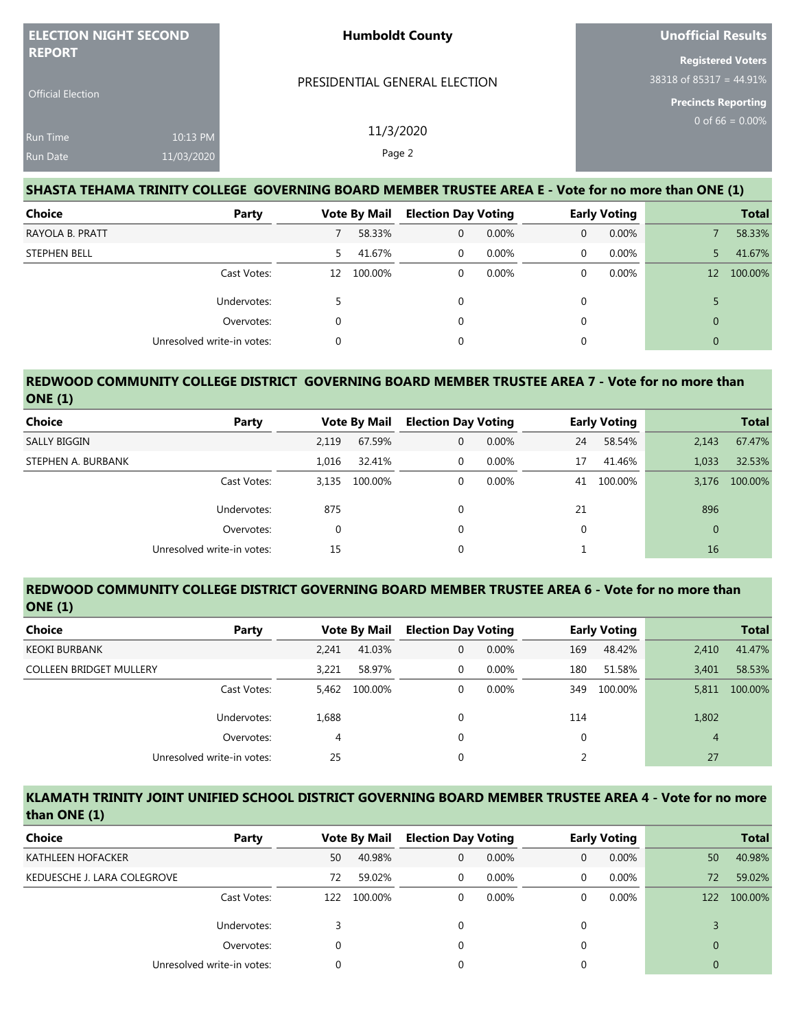| <b>ELECTION NIGHT SECOND</b>              |                        | <b>Humboldt County</b>                                                                              | Unofficial Results                                                                  |  |  |
|-------------------------------------------|------------------------|-----------------------------------------------------------------------------------------------------|-------------------------------------------------------------------------------------|--|--|
| <b>REPORT</b><br><b>Official Election</b> |                        | PRESIDENTIAL GENERAL ELECTION                                                                       | <b>Registered Voters</b><br>$38318$ of 85317 = 44.91%<br><b>Precincts Reporting</b> |  |  |
| <b>Run Time</b><br><b>Run Date</b>        | 10:13 PM<br>11/03/2020 | 11/3/2020<br>Page 2                                                                                 | 0 of $66 = 0.00\%$                                                                  |  |  |
|                                           |                        | SHASTA TEHAMA TRINITY COLLEGE GOVERNING BOARD MEMBER TRUSTEE AREA E - Vote for no more than ONE (1) |                                                                                     |  |  |

| Choice          | Party                      |    | <b>Vote By Mail</b> | <b>Election Day Voting</b> |          |              |       | <b>Early Voting</b> |         |  | <b>Total</b> |
|-----------------|----------------------------|----|---------------------|----------------------------|----------|--------------|-------|---------------------|---------|--|--------------|
| RAYOLA B. PRATT |                            |    | 58.33%              | $\mathbf{0}$               | $0.00\%$ | $\mathbf{0}$ | 0.00% |                     | 58.33%  |  |              |
| STEPHEN BELL    |                            | 5. | 41.67%              | 0                          | $0.00\%$ | $\mathbf 0$  | 0.00% | 5.                  | 41.67%  |  |              |
|                 | Cast Votes:                | 12 | 100.00%             | 0                          | 0.00%    | 0            | 0.00% | 12                  | 100.00% |  |              |
|                 | Undervotes:                |    |                     |                            |          | 0            |       |                     |         |  |              |
|                 | Overvotes:                 |    |                     |                            |          | $\Omega$     |       | $\Omega$            |         |  |              |
|                 | Unresolved write-in votes: |    |                     |                            |          | 0            |       | $\Omega$            |         |  |              |

### **REDWOOD COMMUNITY COLLEGE DISTRICT GOVERNING BOARD MEMBER TRUSTEE AREA 7 - Vote for no more than ONE (1)**

| <b>Choice</b>      | Party                      |       | <b>Vote By Mail</b> |              | <b>Election Day Voting</b> |          | <b>Early Voting</b> | <b>Total</b>   |         |
|--------------------|----------------------------|-------|---------------------|--------------|----------------------------|----------|---------------------|----------------|---------|
| SALLY BIGGIN       |                            | 2,119 | 67.59%              | $\mathbf{0}$ | $0.00\%$                   | 24       | 58.54%              | 2,143          | 67.47%  |
| STEPHEN A. BURBANK |                            | 1.016 | 32.41%              | 0            | $0.00\%$                   | 17       | 41.46%              | 1,033          | 32.53%  |
|                    | Cast Votes:                | 3.135 | 100.00%             | 0            | 0.00%                      | 41       | 100.00%             | 3,176          | 100.00% |
|                    | Undervotes:                | 875   |                     | $\Omega$     |                            | 21       |                     | 896            |         |
|                    | Overvotes:                 | 0     |                     | 0            |                            | $\Omega$ |                     | $\overline{0}$ |         |
|                    | Unresolved write-in votes: | 15    |                     |              |                            |          |                     | 16             |         |

### **REDWOOD COMMUNITY COLLEGE DISTRICT GOVERNING BOARD MEMBER TRUSTEE AREA 6 - Vote for no more than ONE (1)**

| <b>Choice</b><br>Party         |       | <b>Vote By Mail</b> | <b>Election Day Voting</b> |          |     | <b>Early Voting</b> |       | <b>Total</b> |
|--------------------------------|-------|---------------------|----------------------------|----------|-----|---------------------|-------|--------------|
| <b>KEOKI BURBANK</b>           | 2.241 | 41.03%              | $\mathbf{0}$               | $0.00\%$ | 169 | 48.42%              | 2.410 | 41.47%       |
| <b>COLLEEN BRIDGET MULLERY</b> | 3,221 | 58.97%              | $\mathbf 0$                | 0.00%    | 180 | 51.58%              | 3.401 | 58.53%       |
| Cast Votes:                    | 5.462 | 100.00%             | $\mathbf 0$                | 0.00%    | 349 | 100.00%             | 5,811 | 100.00%      |
| Undervotes:                    | 1,688 |                     | $\Omega$                   |          | 114 |                     | 1,802 |              |
| Overvotes:                     | 4     |                     | $\Omega$                   |          | 0   |                     | 4     |              |
| Unresolved write-in votes:     | 25    |                     | $\mathbf 0$                |          |     |                     | 27    |              |

### **KLAMATH TRINITY JOINT UNIFIED SCHOOL DISTRICT GOVERNING BOARD MEMBER TRUSTEE AREA 4 - Vote for no more than ONE (1)**

| <b>Choice</b><br>Party      |     | <b>Vote By Mail</b> | <b>Election Day Voting</b> |          |   | <b>Early Voting</b> |     | <b>Total</b> |
|-----------------------------|-----|---------------------|----------------------------|----------|---|---------------------|-----|--------------|
| KATHLEEN HOFACKER           | 50  | 40.98%              | $\mathbf{0}$               | $0.00\%$ | 0 | 0.00%               | 50  | 40.98%       |
| KEDUESCHE J. LARA COLEGROVE | 72  | 59.02%              | $\Omega$                   | $0.00\%$ | 0 | 0.00%               | 72  | 59.02%       |
| Cast Votes:                 | 122 | 100.00%             | $\Omega$                   | $0.00\%$ | 0 | $0.00\%$            | 122 | 100.00%      |
| Undervotes:                 |     |                     | 0                          |          | 0 |                     |     |              |
| Overvotes:                  |     |                     |                            |          |   |                     |     |              |
| Unresolved write-in votes:  |     |                     |                            |          |   |                     |     |              |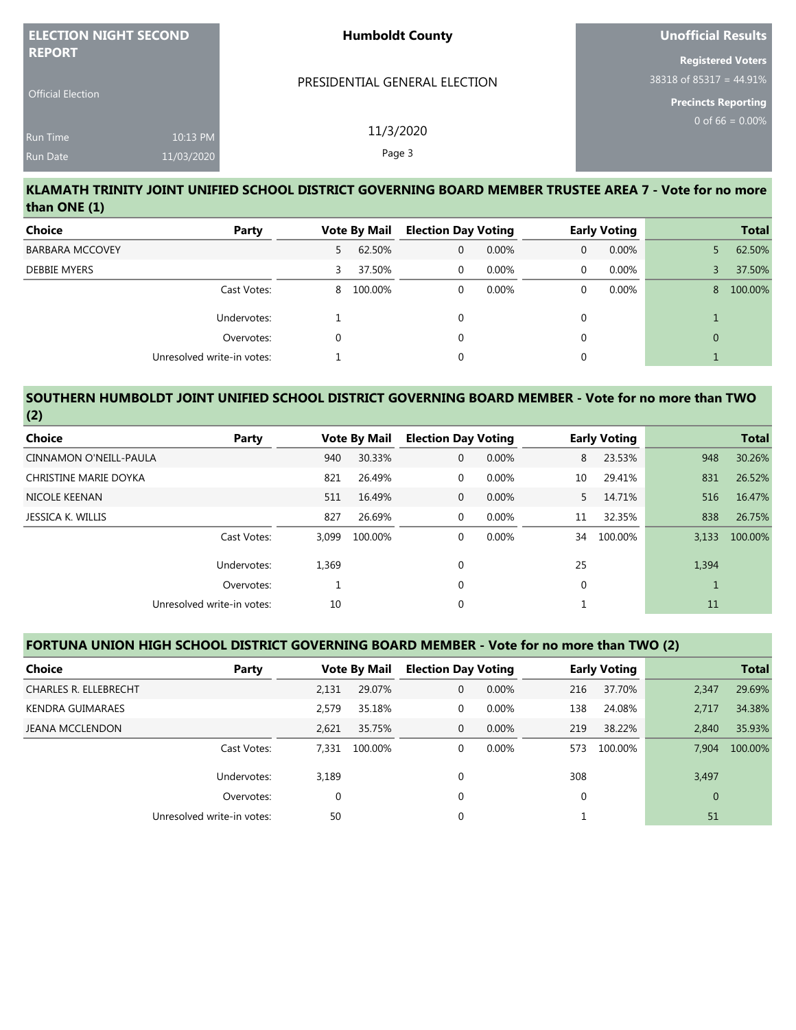| <b>ELECTION NIGHT SECOND</b> |            | <b>Humboldt County</b>        | <b>Unofficial Results</b>              |
|------------------------------|------------|-------------------------------|----------------------------------------|
| <b>REPORT</b>                |            |                               | <b>Registered Voters</b>               |
|                              |            | PRESIDENTIAL GENERAL ELECTION | $38318$ of $853\overline{17}$ = 44.91% |
| <b>Official Election</b>     |            |                               | <b>Precincts Reporting</b>             |
| <b>Run Time</b>              | 10:13 PM   | 11/3/2020                     | $0 \text{ of } 66 = 0.00\%$            |
| Run Date                     | 11/03/2020 | Page 3                        |                                        |

### **KLAMATH TRINITY JOINT UNIFIED SCHOOL DISTRICT GOVERNING BOARD MEMBER TRUSTEE AREA 7 - Vote for no more than ONE (1)**

| Choice                 | Party                      |    | <b>Vote By Mail</b> | <b>Election Day Voting</b> |          |   | <b>Early Voting</b> |          | <b>Total</b> |
|------------------------|----------------------------|----|---------------------|----------------------------|----------|---|---------------------|----------|--------------|
| <b>BARBARA MCCOVEY</b> |                            | 5. | 62.50%              | $\mathbf{0}$               | 0.00%    | 0 | 0.00%               |          | 62.50%       |
| DEBBIE MYERS           |                            | 3  | 37.50%              | $\overline{0}$             | $0.00\%$ | 0 | 0.00%               |          | 37.50%       |
|                        | Cast Votes:                | 8  | 100.00%             | $\mathbf{0}$               | $0.00\%$ | 0 | 0.00%               | 8        | 100.00%      |
|                        | Undervotes:                |    |                     | $\Omega$                   |          | 0 |                     |          |              |
|                        | Overvotes:                 |    |                     | $\Omega$                   |          | 0 |                     | $\Omega$ |              |
|                        | Unresolved write-in votes: |    |                     | 0                          |          | 0 |                     |          |              |

### **SOUTHERN HUMBOLDT JOINT UNIFIED SCHOOL DISTRICT GOVERNING BOARD MEMBER - Vote for no more than TWO (2)**

| <b>Choice</b><br>Party     |       | <b>Vote By Mail</b> | <b>Election Day Voting</b> |          |    | <b>Early Voting</b> |       | <b>Total</b> |
|----------------------------|-------|---------------------|----------------------------|----------|----|---------------------|-------|--------------|
| CINNAMON O'NEILL-PAULA     | 940   | 30.33%              | 0                          | 0.00%    | 8  | 23.53%              | 948   | 30.26%       |
| CHRISTINE MARIE DOYKA      | 821   | 26.49%              | $\mathbf 0$                | 0.00%    | 10 | 29.41%              | 831   | 26.52%       |
| NICOLE KEENAN              | 511   | 16.49%              | $\mathbf{0}$               | 0.00%    | 5. | 14.71%              | 516   | 16.47%       |
| JESSICA K. WILLIS          | 827   | 26.69%              | $\mathbf 0$                | 0.00%    | 11 | 32.35%              | 838   | 26.75%       |
| Cast Votes:                | 3.099 | 100.00%             | $\Omega$                   | $0.00\%$ | 34 | 100.00%             | 3.133 | 100.00%      |
| Undervotes:                | 1,369 |                     | 0                          |          | 25 |                     | 1,394 |              |
| Overvotes:                 |       |                     | 0                          |          |    |                     |       |              |
| Unresolved write-in votes: | 10    |                     | 0                          |          |    |                     | 11    |              |

### **FORTUNA UNION HIGH SCHOOL DISTRICT GOVERNING BOARD MEMBER - Vote for no more than TWO (2)**

| Choice                       | Party                      |       | <b>Vote By Mail</b> | <b>Election Day Voting</b> |          |     | <b>Early Voting</b> | <b>Total</b> |         |
|------------------------------|----------------------------|-------|---------------------|----------------------------|----------|-----|---------------------|--------------|---------|
| <b>CHARLES R. ELLEBRECHT</b> |                            | 2,131 | 29.07%              | $\mathbf{0}$               | $0.00\%$ | 216 | 37.70%              | 2,347        | 29.69%  |
| KENDRA GUIMARAES             |                            | 2.579 | 35.18%              | 0                          | $0.00\%$ | 138 | 24.08%              | 2,717        | 34.38%  |
| <b>JEANA MCCLENDON</b>       |                            | 2.621 | 35.75%              | $\mathbf{0}$               | $0.00\%$ | 219 | 38.22%              | 2,840        | 35.93%  |
|                              | Cast Votes:                | 7,331 | 100.00%             | $\Omega$                   | $0.00\%$ | 573 | 100.00%             | 7.904        | 100.00% |
|                              | Undervotes:                | 3,189 |                     | 0                          |          | 308 |                     | 3,497        |         |
|                              | Overvotes:                 | 0     |                     | $\mathbf 0$                |          |     |                     | 0            |         |
|                              | Unresolved write-in votes: | 50    |                     | $\mathbf 0$                |          |     |                     | 51           |         |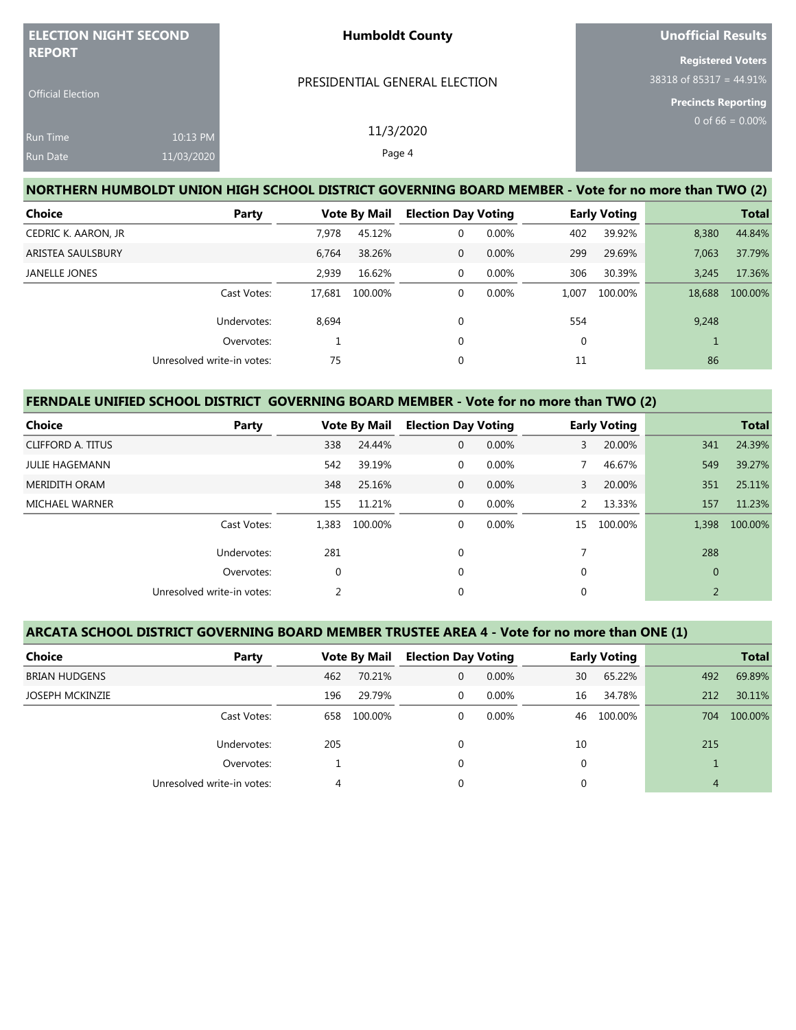| <b>ELECTION NIGHT SECOND</b><br><b>REPORT</b> |                        | <b>Humboldt County</b>                                                                              | <b>Unofficial Results</b>                                                              |
|-----------------------------------------------|------------------------|-----------------------------------------------------------------------------------------------------|----------------------------------------------------------------------------------------|
| <b>Official Election</b>                      |                        | PRESIDENTIAL GENERAL ELECTION                                                                       | <b>Registered Voters</b><br>$38318$ of $85317 = 44.91\%$<br><b>Precincts Reporting</b> |
| <b>Run Time</b><br>Run Date                   | 10:13 PM<br>11/03/2020 | 11/3/2020<br>Page 4                                                                                 | 0 of $66 = 0.00\%$                                                                     |
|                                               |                        | NORTHERN HUMBOLDT UNION HIGH SCHOOL DISTRICT GOVERNING BOARD MEMBER - Vote for no more than TWO (2) |                                                                                        |

| Choice<br>Party            |        | <b>Vote By Mail</b> | <b>Election Day Voting</b> |          | <b>Early Voting</b> |         |        | <b>Total</b> |
|----------------------------|--------|---------------------|----------------------------|----------|---------------------|---------|--------|--------------|
| CEDRIC K. AARON, JR        | 7,978  | 45.12%              | 0                          | 0.00%    | 402                 | 39.92%  | 8,380  | 44.84%       |
| ARISTEA SAULSBURY          | 6.764  | 38.26%              | $\mathbf{0}$               | 0.00%    | 299                 | 29.69%  | 7,063  | 37.79%       |
| <b>JANELLE JONES</b>       | 2,939  | 16.62%              | $\mathbf 0$                | $0.00\%$ | 306                 | 30.39%  | 3,245  | 17.36%       |
| Cast Votes:                | 17,681 | 100.00%             | 0                          | 0.00%    | 1,007               | 100.00% | 18,688 | 100.00%      |
| Undervotes:                | 8,694  |                     | $\mathbf 0$                |          | 554                 |         | 9,248  |              |
| Overvotes:                 |        |                     | 0                          |          | $\Omega$            |         |        |              |
| Unresolved write-in votes: | 75     |                     | 0                          |          | 11                  |         | 86     |              |

## **FERNDALE UNIFIED SCHOOL DISTRICT GOVERNING BOARD MEMBER - Vote for no more than TWO (2)**

| Choice                | Party                      |             | <b>Vote By Mail</b> | <b>Election Day Voting</b> |          | <b>Early Voting</b> |         |                | <b>Total</b> |
|-----------------------|----------------------------|-------------|---------------------|----------------------------|----------|---------------------|---------|----------------|--------------|
| CLIFFORD A. TITUS     |                            | 338         | 24.44%              | $\mathbf{0}$               | 0.00%    | $\overline{3}$      | 20.00%  | 341            | 24.39%       |
| <b>JULIE HAGEMANN</b> |                            | 542         | 39.19%              | $\mathbf 0$                | 0.00%    |                     | 46.67%  | 549            | 39.27%       |
| <b>MERIDITH ORAM</b>  |                            | 348         | 25.16%              | $\mathbf{0}$               | 0.00%    | $\mathbf{3}$        | 20.00%  | 351            | 25.11%       |
| <b>MICHAEL WARNER</b> |                            | 155         | 11.21%              | $\mathbf 0$                | $0.00\%$ | 2                   | 13.33%  | 157            | 11.23%       |
|                       | Cast Votes:                | 1.383       | 100.00%             | 0                          | 0.00%    | 15                  | 100.00% | 1,398          | 100.00%      |
|                       | Undervotes:                | 281         |                     | $\Omega$                   |          |                     |         | 288            |              |
|                       | Overvotes:                 | $\mathbf 0$ |                     | $\mathbf 0$                |          | $\mathbf{0}$        |         | $\overline{0}$ |              |
|                       | Unresolved write-in votes: | 2           |                     | $\mathbf 0$                |          | $\mathbf{0}$        |         | 2              |              |

### **ARCATA SCHOOL DISTRICT GOVERNING BOARD MEMBER TRUSTEE AREA 4 - Vote for no more than ONE (1)**

| Choice                 | Party                      |     | <b>Vote By Mail</b> | <b>Election Day Voting</b> |       |    | <b>Early Voting</b> | <b>Total</b>   |         |
|------------------------|----------------------------|-----|---------------------|----------------------------|-------|----|---------------------|----------------|---------|
| <b>BRIAN HUDGENS</b>   |                            | 462 | 70.21%              | $\mathbf{0}$               | 0.00% | 30 | 65.22%              | 492            | 69.89%  |
| <b>JOSEPH MCKINZIE</b> |                            | 196 | 29.79%              | 0                          | 0.00% | 16 | 34.78%              | 212            | 30.11%  |
|                        | Cast Votes:                | 658 | 100.00%             | $\Omega$                   | 0.00% | 46 | 100.00%             | 704            | 100.00% |
|                        | Undervotes:                | 205 |                     | 0                          |       | 10 |                     | 215            |         |
|                        | Overvotes:                 |     |                     | $\Omega$                   |       | 0  |                     |                |         |
|                        | Unresolved write-in votes: | 4   |                     | 0                          |       | 0  |                     | $\overline{4}$ |         |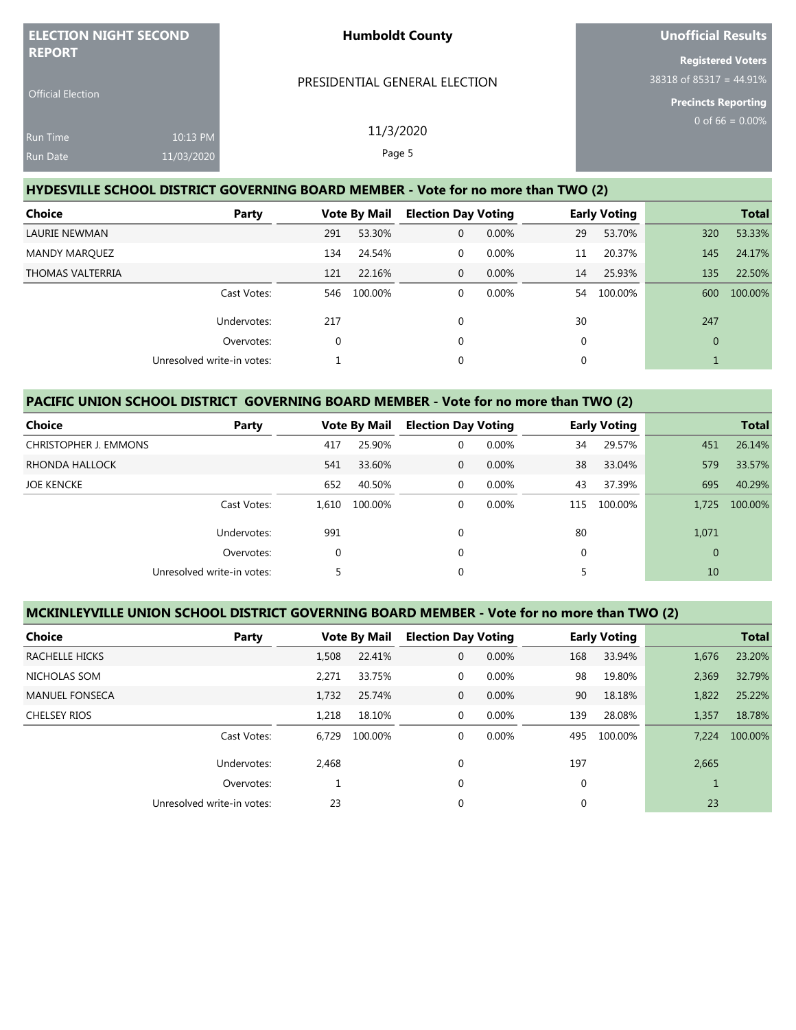| <b>ELECTION NIGHT SECOND</b><br><b>REPORT</b> |            | <b>Humboldt County</b>                                                            | Unofficial Results                                                 |
|-----------------------------------------------|------------|-----------------------------------------------------------------------------------|--------------------------------------------------------------------|
| <b>Official Election</b>                      |            | PRESIDENTIAL GENERAL ELECTION                                                     | <b>Registered Voters</b><br>$38318$ of $853\overline{17}$ = 44.91% |
|                                               |            |                                                                                   | <b>Precincts Reporting</b><br>0 of 66 = $0.00\%$                   |
| <b>Run Time</b>                               | 10:13 PM   | 11/3/2020                                                                         |                                                                    |
| Run Date                                      | 11/03/2020 | Page 5                                                                            |                                                                    |
|                                               |            | HYDESVILLE SCHOOL DISTRICT GOVERNING BOARD MEMBER - Vote for no more than TWO (2) |                                                                    |

| <b>Choice</b><br>Party     |             | <b>Vote By Mail</b> | <b>Election Day Voting</b> |          |              | <b>Early Voting</b> |                | <b>Total</b> |
|----------------------------|-------------|---------------------|----------------------------|----------|--------------|---------------------|----------------|--------------|
| LAURIE NEWMAN              | 291         | 53.30%              | $\mathbf{0}$               | $0.00\%$ | 29           | 53.70%              | 320            | 53.33%       |
| <b>MANDY MARQUEZ</b>       | 134         | 24.54%              | 0                          | 0.00%    | 11           | 20.37%              | 145            | 24.17%       |
| THOMAS VALTERRIA           | 121         | 22.16%              | $\mathbf{0}$               | 0.00%    | 14           | 25.93%              | 135            | 22.50%       |
| Cast Votes:                | 546         | 100.00%             | 0                          | 0.00%    | 54           | 100.00%             | 600            | 100.00%      |
| Undervotes:                | 217         |                     | $\mathbf 0$                |          | 30           |                     | 247            |              |
| Overvotes:                 | $\mathbf 0$ |                     | 0                          |          | $\mathbf{0}$ |                     | $\overline{0}$ |              |
| Unresolved write-in votes: |             |                     | $\mathbf 0$                |          | 0            |                     |                |              |

### **PACIFIC UNION SCHOOL DISTRICT GOVERNING BOARD MEMBER - Vote for no more than TWO (2)**

| <b>Choice</b>         | Party                      |       | <b>Vote By Mail</b> | <b>Election Day Voting</b> |          |             | <b>Early Voting</b> |              | <b>Total</b> |
|-----------------------|----------------------------|-------|---------------------|----------------------------|----------|-------------|---------------------|--------------|--------------|
| CHRISTOPHER J. EMMONS |                            | 417   | 25.90%              | $\mathbf 0$                | $0.00\%$ | 34          | 29.57%              | 451          | 26.14%       |
| RHONDA HALLOCK        |                            | 541   | 33.60%              | $\mathbf{0}$               | $0.00\%$ | 38          | 33.04%              | 579          | 33.57%       |
| <b>JOE KENCKE</b>     |                            | 652   | 40.50%              | $\mathbf 0$                | $0.00\%$ | 43          | 37.39%              | 695          | 40.29%       |
|                       | Cast Votes:                | 1.610 | 100.00%             | 0                          | 0.00%    | 115         | 100.00%             | 1.725        | 100.00%      |
|                       | Undervotes:                | 991   |                     | $\mathbf 0$                |          | 80          |                     | 1,071        |              |
|                       | Overvotes:                 | 0     |                     | $\mathbf 0$                |          | $\mathbf 0$ |                     | $\mathbf{0}$ |              |
|                       | Unresolved write-in votes: |       |                     | $\mathbf 0$                |          |             |                     | 10           |              |

### **MCKINLEYVILLE UNION SCHOOL DISTRICT GOVERNING BOARD MEMBER - Vote for no more than TWO (2)**

| <b>Choice</b>         | Party                      |       | <b>Vote By Mail</b> | <b>Election Day Voting</b> |          |              | <b>Early Voting</b> |       | <b>Total</b> |
|-----------------------|----------------------------|-------|---------------------|----------------------------|----------|--------------|---------------------|-------|--------------|
| RACHELLE HICKS        |                            | 1,508 | 22.41%              | $\mathbf 0$                | 0.00%    | 168          | 33.94%              | 1,676 | 23.20%       |
| NICHOLAS SOM          |                            | 2,271 | 33.75%              | $\mathbf 0$                | $0.00\%$ | 98           | 19.80%              | 2,369 | 32.79%       |
| <b>MANUEL FONSECA</b> |                            | 1.732 | 25.74%              | $\mathbf{0}$               | $0.00\%$ | 90           | 18.18%              | 1,822 | 25.22%       |
| <b>CHELSEY RIOS</b>   |                            | 1,218 | 18.10%              | 0                          | $0.00\%$ | 139          | 28.08%              | 1,357 | 18.78%       |
|                       | Cast Votes:                | 6.729 | 100.00%             | 0                          | $0.00\%$ | 495          | 100.00%             | 7.224 | 100.00%      |
|                       | Undervotes:                | 2,468 |                     | 0                          |          | 197          |                     | 2,665 |              |
|                       | Overvotes:                 |       |                     | 0                          |          | $\mathbf{0}$ |                     |       |              |
|                       | Unresolved write-in votes: | 23    |                     | 0                          |          | $\mathbf{0}$ |                     | 23    |              |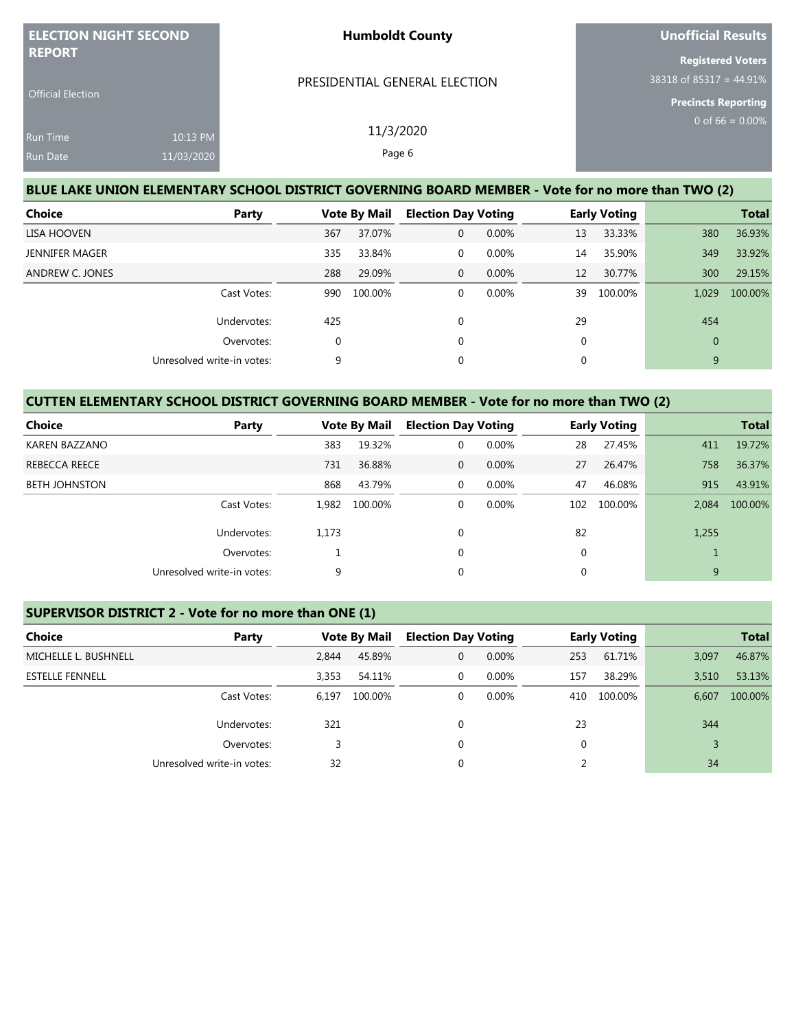| <b>ELECTION NIGHT SECOND</b>              |                        | <b>Humboldt County</b>                                                                            | <b>Unofficial Results</b>                                                                        |
|-------------------------------------------|------------------------|---------------------------------------------------------------------------------------------------|--------------------------------------------------------------------------------------------------|
| <b>REPORT</b><br><b>Official Election</b> |                        | PRESIDENTIAL GENERAL ELECTION                                                                     | <b>Registered Voters</b><br>$38318$ of $853\overline{17}$ = 44.91%<br><b>Precincts Reporting</b> |
| Run Time<br><b>Run Date</b>               | 10:13 PM<br>11/03/2020 | 11/3/2020<br>Page 6                                                                               | $0$ of 66 = 0.00%                                                                                |
|                                           |                        | BLUE LAKE UNION ELEMENTARY SCHOOL DISTRICT GOVERNING BOARD MEMBER - Vote for no more than TWO (2) |                                                                                                  |

| <b>Choice</b><br>Party     |     | <b>Vote By Mail</b> | <b>Election Day Voting</b> |       |              | <b>Early Voting</b> |                | <b>Total</b> |
|----------------------------|-----|---------------------|----------------------------|-------|--------------|---------------------|----------------|--------------|
| LISA HOOVEN                | 367 | 37.07%              | $\mathbf 0$                | 0.00% | 13           | 33.33%              | 380            | 36.93%       |
| <b>JENNIFER MAGER</b>      | 335 | 33.84%              | $\mathbf 0$                | 0.00% | 14           | 35.90%              | 349            | 33.92%       |
| ANDREW C. JONES            | 288 | 29.09%              | $\mathbf{0}$               | 0.00% | 12           | 30.77%              | 300            | 29.15%       |
| Cast Votes:                | 990 | 100.00%             | $\mathbf 0$                | 0.00% | 39           | 100.00%             | 1,029          | 100.00%      |
| Undervotes:                | 425 |                     | 0                          |       | 29           |                     | 454            |              |
| Overvotes:                 | 0   |                     |                            |       | $\mathbf{0}$ |                     | $\overline{0}$ |              |
| Unresolved write-in votes: | 9   |                     |                            |       | $\mathbf{0}$ |                     | 9              |              |

### **CUTTEN ELEMENTARY SCHOOL DISTRICT GOVERNING BOARD MEMBER - Vote for no more than TWO (2)**

| <b>Choice</b>        | Party                      |       | <b>Vote By Mail</b> | <b>Election Day Voting</b> |          | <b>Early Voting</b> |         |       | <b>Total</b> |
|----------------------|----------------------------|-------|---------------------|----------------------------|----------|---------------------|---------|-------|--------------|
| KAREN BAZZANO        |                            | 383   | 19.32%              | 0                          | $0.00\%$ | 28                  | 27.45%  | 411   | 19.72%       |
| REBECCA REECE        |                            | 731   | 36.88%              | $\mathbf{0}$               | $0.00\%$ | 27                  | 26.47%  | 758   | 36.37%       |
| <b>BETH JOHNSTON</b> |                            | 868   | 43.79%              | 0                          | $0.00\%$ | 47                  | 46.08%  | 915   | 43.91%       |
|                      | Cast Votes:                | 1,982 | 100.00%             | 0                          | 0.00%    | 102                 | 100.00% | 2.084 | 100.00%      |
|                      | Undervotes:                | 1,173 |                     | $\mathbf 0$                |          | 82                  |         | 1,255 |              |
|                      | Overvotes:                 |       |                     | $\mathbf 0$                |          | 0                   |         |       |              |
|                      | Unresolved write-in votes: | 9     |                     | 0                          |          | 0                   |         | 9     |              |

### **SUPERVISOR DISTRICT 2 - Vote for no more than ONE (1)**

| Choice                 | Party                      |       | <b>Vote By Mail</b> | <b>Election Day Voting</b> |          |     | <b>Early Voting</b> |       | <b>Total</b> |
|------------------------|----------------------------|-------|---------------------|----------------------------|----------|-----|---------------------|-------|--------------|
| MICHELLE L. BUSHNELL   |                            | 2.844 | 45.89%              | $\overline{0}$             | $0.00\%$ | 253 | 61.71%              | 3,097 | 46.87%       |
| <b>ESTELLE FENNELL</b> |                            | 3,353 | 54.11%              | $\Omega$                   | $0.00\%$ | 157 | 38.29%              | 3.510 | 53.13%       |
|                        | Cast Votes:                | 6.197 | 100.00%             | $\Omega$                   | $0.00\%$ | 410 | 100.00%             | 6.607 | 100.00%      |
|                        | Undervotes:                | 321   |                     | 0                          |          | 23  |                     | 344   |              |
|                        | Overvotes:                 |       |                     | 0                          |          | 0   |                     |       |              |
|                        | Unresolved write-in votes: | 32    |                     | $\Omega$                   |          |     |                     | 34    |              |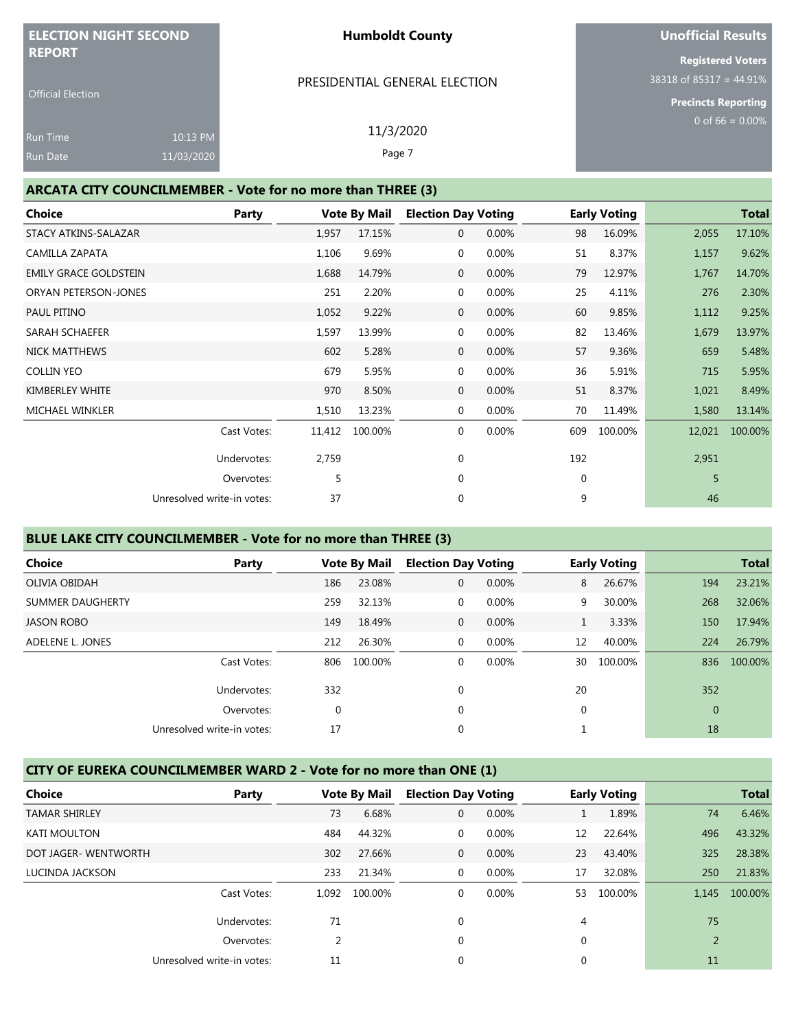| <b>ELECTION NIGHT SECOND</b><br><b>REPORT</b> |                                                                    |       |                               |        | <b>Humboldt County</b>     |          |    | <u>Uno</u> fficial Results |                                                                                     |                    |  |  |
|-----------------------------------------------|--------------------------------------------------------------------|-------|-------------------------------|--------|----------------------------|----------|----|----------------------------|-------------------------------------------------------------------------------------|--------------------|--|--|
| <b>Official Election</b>                      |                                                                    |       | PRESIDENTIAL GENERAL ELECTION |        |                            |          |    |                            | <b>Registered Voters</b><br>$38318$ of 85317 = 44.91%<br><b>Precincts Reporting</b> |                    |  |  |
| <b>Run Time</b><br>Run Date                   | 10:13 PM<br>11/03/2020                                             |       | 11/3/2020<br>Page 7           |        |                            |          |    |                            |                                                                                     | 0 of $66 = 0.00\%$ |  |  |
|                                               | <b>ARCATA CITY COUNCILMEMBER - Vote for no more than THREE (3)</b> |       |                               |        |                            |          |    |                            |                                                                                     |                    |  |  |
| Choice                                        |                                                                    | Party | <b>Vote By Mail</b>           |        | <b>Election Day Voting</b> |          |    | <b>Early Voting</b>        |                                                                                     | <b>Total</b>       |  |  |
| STACY ATKINS-SALAZAR                          |                                                                    |       | 1.957                         | 17.15% | 0                          | $0.00\%$ | 98 | 16.09%                     | 2.055                                                                               | 17.10%             |  |  |

|                              |                            | $-1 - 1$ |         |             |          |     |         | -, - - - |         |
|------------------------------|----------------------------|----------|---------|-------------|----------|-----|---------|----------|---------|
| CAMILLA ZAPATA               |                            | 1,106    | 9.69%   | 0           | $0.00\%$ | 51  | 8.37%   | 1,157    | 9.62%   |
| <b>EMILY GRACE GOLDSTEIN</b> |                            | 1,688    | 14.79%  | $\mathbf 0$ | 0.00%    | 79  | 12.97%  | 1,767    | 14.70%  |
| <b>ORYAN PETERSON-JONES</b>  |                            | 251      | 2.20%   | $\mathbf 0$ | 0.00%    | 25  | 4.11%   | 276      | 2.30%   |
| PAUL PITINO                  |                            | 1,052    | 9.22%   | $\mathbf 0$ | 0.00%    | 60  | 9.85%   | 1,112    | 9.25%   |
| SARAH SCHAEFER               |                            | 1,597    | 13.99%  | 0           | 0.00%    | 82  | 13.46%  | 1,679    | 13.97%  |
| NICK MATTHEWS                |                            | 602      | 5.28%   | $\mathbf 0$ | 0.00%    | 57  | 9.36%   | 659      | 5.48%   |
| <b>COLLIN YEO</b>            |                            | 679      | 5.95%   | 0           | 0.00%    | 36  | 5.91%   | 715      | 5.95%   |
| KIMBERLEY WHITE              |                            | 970      | 8.50%   | $\mathbf 0$ | 0.00%    | 51  | 8.37%   | 1,021    | 8.49%   |
| MICHAEL WINKLER              |                            | 1,510    | 13.23%  | 0           | 0.00%    | 70  | 11.49%  | 1,580    | 13.14%  |
|                              | Cast Votes:                | 11,412   | 100.00% | $\mathbf 0$ | 0.00%    | 609 | 100.00% | 12,021   | 100.00% |
|                              | Undervotes:                | 2,759    |         | $\mathbf 0$ |          | 192 |         | 2,951    |         |
|                              | Overvotes:                 | 5        |         | $\mathbf 0$ |          | 0   |         | 5        |         |
|                              | Unresolved write-in votes: | 37       |         | $\mathbf 0$ |          | 9   |         | 46       |         |

### **BLUE LAKE CITY COUNCILMEMBER - Vote for no more than THREE (3)**

| <b>Choice</b>           | Party                      |     | <b>Vote By Mail</b> | <b>Election Day Voting</b> |          |    | <b>Early Voting</b> |              | <b>Total</b> |
|-------------------------|----------------------------|-----|---------------------|----------------------------|----------|----|---------------------|--------------|--------------|
| OLIVIA OBIDAH           |                            | 186 | 23.08%              | $\mathbf{0}$               | 0.00%    | 8  | 26.67%              | 194          | 23.21%       |
| <b>SUMMER DAUGHERTY</b> |                            | 259 | 32.13%              | $\mathbf 0$                | 0.00%    | 9  | 30.00%              | 268          | 32.06%       |
| <b>JASON ROBO</b>       |                            | 149 | 18.49%              | $\mathbf{0}$               | $0.00\%$ |    | 3.33%               | 150          | 17.94%       |
| ADELENE L. JONES        |                            | 212 | 26.30%              | $\mathbf{0}$               | 0.00%    | 12 | 40.00%              | 224          | 26.79%       |
|                         | Cast Votes:                | 806 | 100.00%             | 0                          | 0.00%    | 30 | 100.00%             | 836          | 100.00%      |
|                         | Undervotes:                | 332 |                     | $\Omega$                   |          | 20 |                     | 352          |              |
|                         | Overvotes:                 | 0   |                     | 0                          |          | 0  |                     | $\mathbf{0}$ |              |
|                         | Unresolved write-in votes: | 17  |                     | $\mathbf 0$                |          |    |                     | 18           |              |

### **CITY OF EUREKA COUNCILMEMBER WARD 2 - Vote for no more than ONE (1)**

| <b>Choice</b>        | Party                      |       | <b>Vote By Mail</b> | <b>Election Day Voting</b> |          |    | <b>Early Voting</b> |                | <b>Total</b> |
|----------------------|----------------------------|-------|---------------------|----------------------------|----------|----|---------------------|----------------|--------------|
| <b>TAMAR SHIRLEY</b> |                            | 73    | 6.68%               | $\overline{0}$             | 0.00%    |    | 1.89%               | 74             | 6.46%        |
| <b>KATI MOULTON</b>  |                            | 484   | 44.32%              | $\overline{0}$             | 0.00%    | 12 | 22.64%              | 496            | 43.32%       |
| DOT JAGER- WENTWORTH |                            | 302   | 27.66%              | $\overline{0}$             | 0.00%    | 23 | 43.40%              | 325            | 28.38%       |
| LUCINDA JACKSON      |                            | 233   | 21.34%              | $\mathbf 0$                | 0.00%    | 17 | 32.08%              | 250            | 21.83%       |
|                      | Cast Votes:                | 1.092 | 100.00%             | 0                          | $0.00\%$ | 53 | 100.00%             | 1.145          | 100.00%      |
|                      | Undervotes:                | 71    |                     | $\Omega$                   |          | 4  |                     | 75             |              |
|                      | Overvotes:                 | 2     |                     | 0                          |          | 0  |                     | $\overline{2}$ |              |
|                      | Unresolved write-in votes: | 11    |                     | 0                          |          | 0  |                     | 11             |              |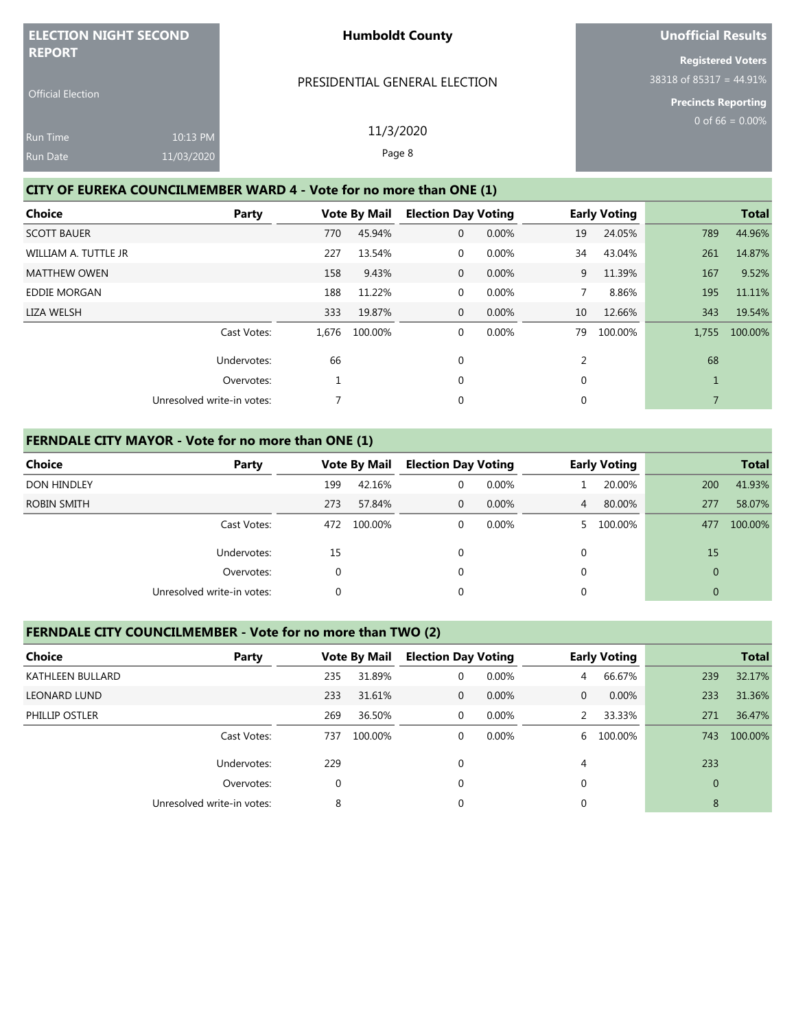| <b>ELECTION NIGHT SECOND</b><br><b>REPORT</b>                       |            |           |     |                     | <b>Humboldt County</b>        |          |    | Unofficial Results  |                            |                    |  |
|---------------------------------------------------------------------|------------|-----------|-----|---------------------|-------------------------------|----------|----|---------------------|----------------------------|--------------------|--|
|                                                                     |            |           |     |                     |                               |          |    |                     | <b>Registered Voters</b>   |                    |  |
| <b>Official Election</b>                                            |            |           |     |                     | PRESIDENTIAL GENERAL ELECTION |          |    |                     | $38318$ of 85317 = 44.91%  |                    |  |
|                                                                     |            |           |     |                     |                               |          |    |                     | <b>Precincts Reporting</b> |                    |  |
| <b>Run Time</b>                                                     | 10:13 PM   | 11/3/2020 |     |                     |                               |          |    |                     |                            | 0 of $66 = 0.00\%$ |  |
| <b>Run Date</b>                                                     | 11/03/2020 |           |     | Page 8              |                               |          |    |                     |                            |                    |  |
|                                                                     |            |           |     |                     |                               |          |    |                     |                            |                    |  |
| CITY OF EUREKA COUNCILMEMBER WARD 4 - Vote for no more than ONE (1) |            |           |     |                     |                               |          |    |                     |                            |                    |  |
| <b>Choice</b>                                                       |            | Party     |     | <b>Vote By Mail</b> | <b>Election Day Voting</b>    |          |    | <b>Early Voting</b> |                            | <b>Total</b>       |  |
| <b>SCOTT BAUER</b>                                                  |            |           | 770 | 45.94%              | 0                             | $0.00\%$ | 19 | 24.05%              | 789                        | 44.96%             |  |

WILLIAM A. TUTTLE JR 2000 227 13.54% 0 0.00% 34 43.04% 261 14.87% MATTHEW OWEN 158 9.43% 0 0.00% 9 11.39% 167 9.52% EDDIE MORGAN 188 11.22% 0 0.00% 7 8.86% 195 11.11% LIZA WELSH 333 19.87% 0 0.00% 10 12.66% 343 19.54%

Cast Votes: 1,676 100.00% 0 0.00% 79 100.00% 1,755 100.00%

Undervotes: 66 6 0 2 68 Overvotes:  $\begin{array}{ccccccc} 1 & 0 & 0 & 0 & 1 \end{array}$ 

Unresolved write-in votes:  $\begin{array}{ccc} 7 & 0 & 0 & 0 \end{array}$ 

| <b>FERNDALE CITY MAYOR - Vote for no more than ONE (1)</b> |  |
|------------------------------------------------------------|--|
|                                                            |  |

| <b>Choice</b>      | Party                      |     | <b>Vote By Mail</b> | <b>Election Day Voting</b> |          |                | <b>Early Voting</b> |     | <b>Total</b> |
|--------------------|----------------------------|-----|---------------------|----------------------------|----------|----------------|---------------------|-----|--------------|
| <b>DON HINDLEY</b> |                            | 199 | 42.16%              | $\mathbf{0}$               | $0.00\%$ |                | 20.00%              | 200 | 41.93%       |
| ROBIN SMITH        |                            | 273 | 57.84%              | $\overline{0}$             | $0.00\%$ | $\overline{4}$ | 80.00%              | 277 | 58.07%       |
|                    | Cast Votes:                | 472 | 100.00%             | $\mathbf{0}$               | $0.00\%$ |                | 100.00%             | 477 | 100.00%      |
|                    | Undervotes:                | 15  |                     | $\Omega$                   |          | 0              |                     | 15  |              |
|                    | Overvotes:                 | 0   |                     | $\mathbf 0$                |          | 0              |                     | 0   |              |
|                    | Unresolved write-in votes: | 0   |                     | 0                          |          | 0              |                     | 0   |              |

### **FERNDALE CITY COUNCILMEMBER - Vote for no more than TWO (2)**

| <b>Choice</b>       | Party                      |     | <b>Vote By Mail</b> | <b>Election Day Voting</b> |       |                | <b>Early Voting</b> |          | <b>Total</b> |
|---------------------|----------------------------|-----|---------------------|----------------------------|-------|----------------|---------------------|----------|--------------|
| KATHLEEN BULLARD    |                            | 235 | 31.89%              | 0                          | 0.00% | $\overline{4}$ | 66.67%              | 239      | 32.17%       |
| <b>LEONARD LUND</b> |                            | 233 | 31.61%              | $\mathbf{0}$               | 0.00% | $\mathbf{0}$   | 0.00%               | 233      | 31.36%       |
| PHILLIP OSTLER      |                            | 269 | 36.50%              | 0                          | 0.00% | 2              | 33.33%              | 271      | 36.47%       |
|                     | Cast Votes:                | 737 | 100.00%             | 0                          | 0.00% | 6              | 100.00%             | 743      | 100.00%      |
|                     | Undervotes:                | 229 |                     | $\Omega$                   |       | 4              |                     | 233      |              |
|                     | Overvotes:                 | 0   |                     | $\Omega$                   |       | $\mathbf{0}$   |                     | $\Omega$ |              |
|                     | Unresolved write-in votes: | 8   |                     | 0                          |       | 0              |                     | 8        |              |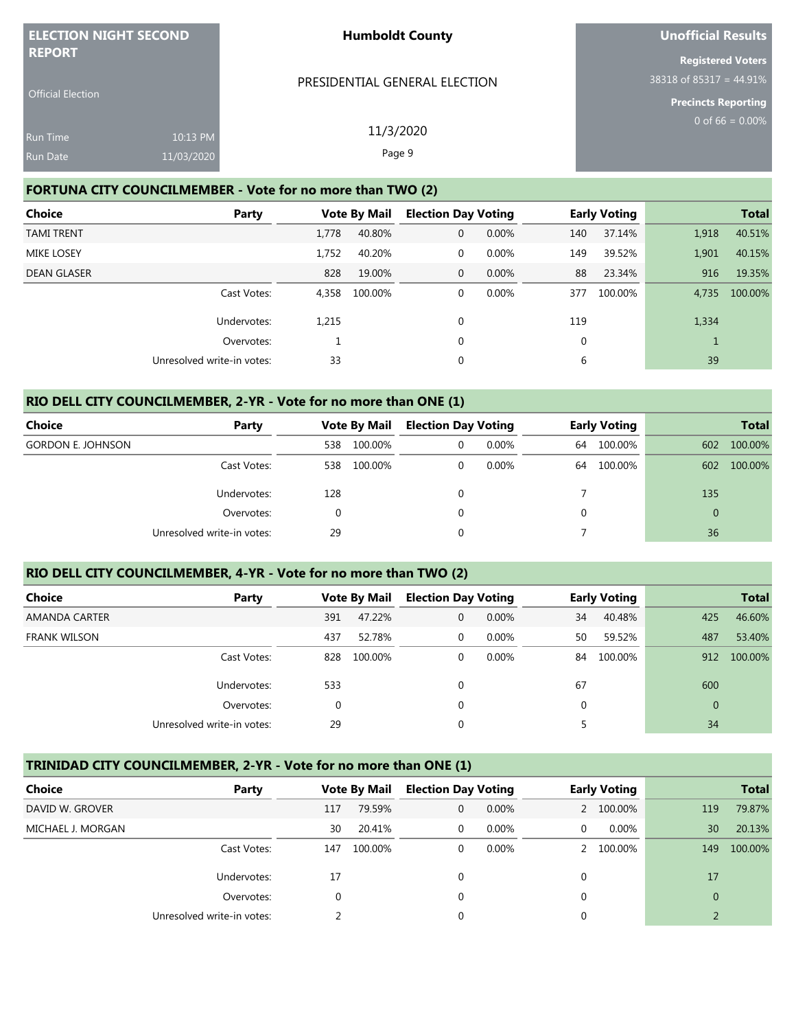| <b>ELECTION NIGHT SECOND</b>              |                        | <b>Humboldt County</b>                                     | Unofficial Results                                                                     |
|-------------------------------------------|------------------------|------------------------------------------------------------|----------------------------------------------------------------------------------------|
| <b>REPORT</b><br><b>Official Election</b> |                        | PRESIDENTIAL GENERAL ELECTION                              | <b>Registered Voters</b><br>$38318$ of $85317 = 44.91\%$<br><b>Precincts Reporting</b> |
| Run Time<br>Run Date                      | 10:13 PM<br>11/03/2020 | 11/3/2020<br>Page 9                                        | 0 of $66 = 0.00\%$                                                                     |
|                                           |                        | FORTUNA CITY COUNCILMEMBER - Vote for no more than TWO (2) |                                                                                        |

| Choice             | Party                      |       | <b>Vote By Mail</b> | <b>Election Day Voting</b> |          | <b>Early Voting</b> |         | <b>Total</b> |         |
|--------------------|----------------------------|-------|---------------------|----------------------------|----------|---------------------|---------|--------------|---------|
| <b>TAMI TRENT</b>  |                            | 1,778 | 40.80%              | $\mathbf{0}$               | 0.00%    | 140                 | 37.14%  | 1,918        | 40.51%  |
| <b>MIKE LOSEY</b>  |                            | 1,752 | 40.20%              | 0                          | 0.00%    | 149                 | 39.52%  | 1,901        | 40.15%  |
| <b>DEAN GLASER</b> |                            | 828   | 19.00%              | $\mathbf{0}$               | $0.00\%$ | 88                  | 23.34%  | 916          | 19.35%  |
|                    | Cast Votes:                | 4.358 | 100.00%             | 0                          | 0.00%    | 377                 | 100.00% | 4.735        | 100.00% |
|                    | Undervotes:                | 1,215 |                     | $\mathbf{0}$               |          | 119                 |         | 1,334        |         |
|                    | Overvotes:                 |       |                     | $\mathbf{0}$               |          | 0                   |         |              |         |
|                    | Unresolved write-in votes: | 33    |                     | $\mathbf{0}$               |          | 6                   |         | 39           |         |

### **RIO DELL CITY COUNCILMEMBER, 2-YR - Vote for no more than ONE (1)**

| Choice<br>Party          |                            | <b>Vote By Mail</b> |         |   | <b>Election Day Voting</b> |          | <b>Early Voting</b> |     | <b>Total</b> |  |
|--------------------------|----------------------------|---------------------|---------|---|----------------------------|----------|---------------------|-----|--------------|--|
| <b>GORDON E. JOHNSON</b> |                            | 538                 | 100.00% | 0 | 0.00%                      | 64       | 100.00%             | 602 | 100.00%      |  |
|                          | Cast Votes:                | 538                 | 100.00% |   | 0.00%                      | 64       | 100.00%             | 602 | 100.00%      |  |
|                          | Undervotes:                | 128                 |         |   |                            |          |                     | 135 |              |  |
|                          | Overvotes:                 |                     |         |   |                            | $\Omega$ |                     | 0   |              |  |
|                          | Unresolved write-in votes: | 29                  |         |   |                            |          |                     | 36  |              |  |

### **RIO DELL CITY COUNCILMEMBER, 4-YR - Vote for no more than TWO (2)**

| <b>Choice</b><br>Party |                            | <b>Vote By Mail</b> |         | <b>Election Day Voting</b> |          |          | <b>Early Voting</b> |                | <b>Total</b> |
|------------------------|----------------------------|---------------------|---------|----------------------------|----------|----------|---------------------|----------------|--------------|
| AMANDA CARTER          |                            | 391                 | 47.22%  | 0                          | $0.00\%$ | 34       | 40.48%              | 425            | 46.60%       |
| <b>FRANK WILSON</b>    |                            | 437                 | 52.78%  | 0                          | $0.00\%$ | 50       | 59.52%              | 487            | 53.40%       |
|                        | Cast Votes:                | 828                 | 100.00% | 0                          | 0.00%    | 84       | 100.00%             | 912            | 100.00%      |
|                        | Undervotes:                | 533                 |         | $\Omega$                   |          | 67       |                     | 600            |              |
|                        | Overvotes:                 | 0                   |         | 0                          |          | $\Omega$ |                     | $\overline{0}$ |              |
|                        | Unresolved write-in votes: | 29                  |         |                            |          | 5        |                     | 34             |              |

### **TRINIDAD CITY COUNCILMEMBER, 2-YR - Vote for no more than ONE (1)**

| Choice            | Party                      |     | <b>Vote By Mail</b> |          | <b>Election Day Voting</b> |               | <b>Early Voting</b> | <b>Total</b> |         |
|-------------------|----------------------------|-----|---------------------|----------|----------------------------|---------------|---------------------|--------------|---------|
| DAVID W. GROVER   |                            | 117 | 79.59%              | 0        | $0.00\%$                   | $\mathcal{P}$ | 100.00%             | 119          | 79.87%  |
| MICHAEL J. MORGAN |                            | 30  | 20.41%              | $\Omega$ | 0.00%                      | 0             | 0.00%               | 30           | 20.13%  |
|                   | Cast Votes:                | 147 | 100.00%             | 0        | 0.00%                      |               | 100.00%             | 149          | 100.00% |
|                   | Undervotes:                | 17  |                     | 0        |                            | 0             |                     | 17           |         |
|                   | Overvotes:                 | 0   |                     | $\Omega$ |                            | 0             |                     | $\mathbf{0}$ |         |
|                   | Unresolved write-in votes: |     |                     |          |                            | 0             |                     |              |         |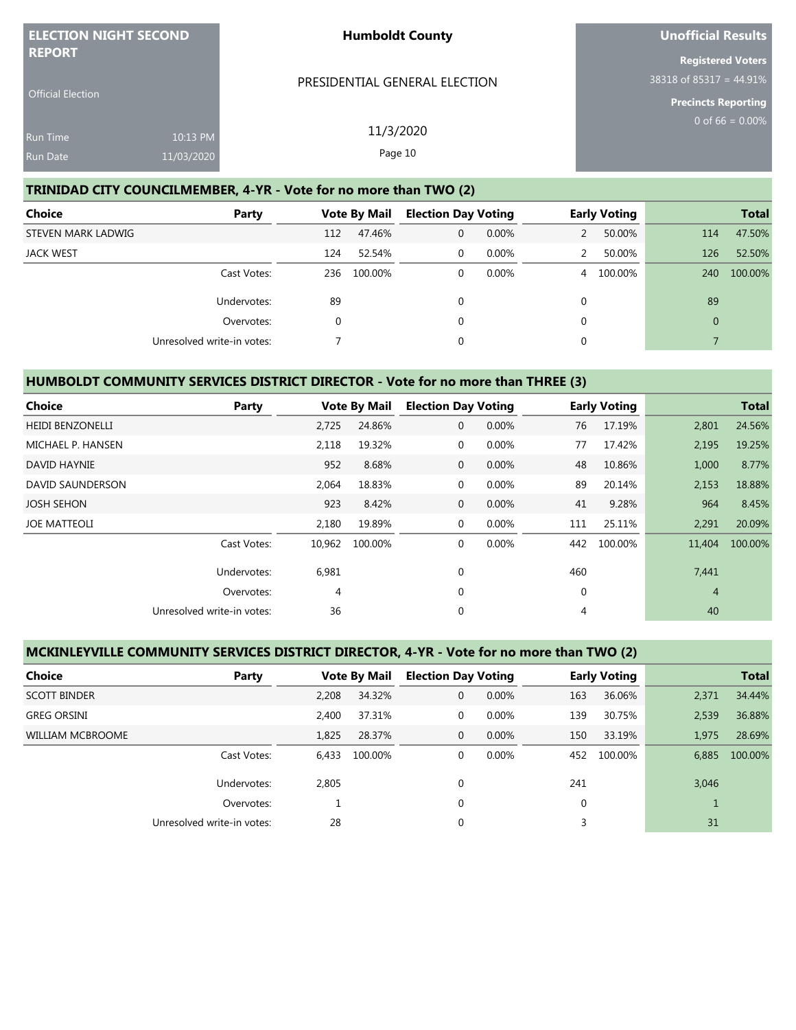| <b>ELECTION NIGHT SECOND</b><br><b>REPORT</b> |                        | <b>Humboldt County</b>                                            | Unofficial Results                                                                     |
|-----------------------------------------------|------------------------|-------------------------------------------------------------------|----------------------------------------------------------------------------------------|
| <b>Official Election</b>                      |                        | PRESIDENTIAL GENERAL ELECTION                                     | <b>Registered Voters</b><br>$38318$ of $85317 = 44.91\%$<br><b>Precincts Reporting</b> |
| <b>Run Time</b><br>Run Date                   | 10:13 PM<br>11/03/2020 | 11/3/2020<br>Page 10                                              | 0 of 66 = $0.00\%$                                                                     |
|                                               |                        | TRINIDAD CITY COUNCILMEMBER, 4-YR - Vote for no more than TWO (2) |                                                                                        |

| Choice<br>Party            |     | <b>Vote By Mail</b> |              | <b>Election Day Voting</b> |   | <b>Early Voting</b> | <b>Total</b> |         |
|----------------------------|-----|---------------------|--------------|----------------------------|---|---------------------|--------------|---------|
| STEVEN MARK LADWIG         | 112 | 47.46%              | $\mathbf{0}$ | $0.00\%$                   |   | 50.00%              | 114          | 47.50%  |
| <b>JACK WEST</b>           | 124 | 52.54%              | $\Omega$     | $0.00\%$                   |   | 50.00%              | 126          | 52.50%  |
| Cast Votes:                | 236 | 100.00%             | 0            | $0.00\%$                   | 4 | 100.00%             | 240          | 100.00% |
| Undervotes:                | 89  |                     | $\mathbf 0$  |                            | 0 |                     | 89           |         |
| Overvotes:                 |     |                     | 0            |                            | 0 |                     | $\Omega$     |         |
| Unresolved write-in votes: |     |                     | 0            |                            |   |                     |              |         |

### **HUMBOLDT COMMUNITY SERVICES DISTRICT DIRECTOR - Vote for no more than THREE (3)**

| Choice                  | Party                      |        | <b>Vote By Mail</b> | <b>Election Day Voting</b> |       | <b>Early Voting</b> |         |                | <b>Total</b> |
|-------------------------|----------------------------|--------|---------------------|----------------------------|-------|---------------------|---------|----------------|--------------|
| <b>HEIDI BENZONELLI</b> |                            | 2,725  | 24.86%              | $\mathbf{0}$               | 0.00% | 76                  | 17.19%  | 2,801          | 24.56%       |
| MICHAEL P. HANSEN       |                            | 2,118  | 19.32%              | 0                          | 0.00% | 77                  | 17.42%  | 2,195          | 19.25%       |
| DAVID HAYNIE            |                            | 952    | 8.68%               | $\overline{0}$             | 0.00% | 48                  | 10.86%  | 1,000          | 8.77%        |
| DAVID SAUNDERSON        |                            | 2,064  | 18.83%              | 0                          | 0.00% | 89                  | 20.14%  | 2,153          | 18.88%       |
| <b>JOSH SEHON</b>       |                            | 923    | 8.42%               | $\mathbf{0}$               | 0.00% | 41                  | 9.28%   | 964            | 8.45%        |
| <b>JOE MATTEOLI</b>     |                            | 2,180  | 19.89%              | 0                          | 0.00% | 111                 | 25.11%  | 2,291          | 20.09%       |
|                         | Cast Votes:                | 10,962 | 100.00%             | $\mathbf 0$                | 0.00% | 442                 | 100.00% | 11,404         | 100.00%      |
|                         | Undervotes:                | 6,981  |                     | $\mathbf 0$                |       | 460                 |         | 7,441          |              |
|                         | Overvotes:                 | 4      |                     | $\Omega$                   |       | $\mathbf{0}$        |         | $\overline{4}$ |              |
|                         | Unresolved write-in votes: | 36     |                     | $\mathbf 0$                |       | 4                   |         | 40             |              |

## **MCKINLEYVILLE COMMUNITY SERVICES DISTRICT DIRECTOR, 4-YR - Vote for no more than TWO (2)**

| Choice              | Party                      |       | <b>Vote By Mail</b> |              | <b>Election Day Voting</b> |              | <b>Early Voting</b> |       | <b>Total</b> |
|---------------------|----------------------------|-------|---------------------|--------------|----------------------------|--------------|---------------------|-------|--------------|
| <b>SCOTT BINDER</b> |                            | 2.208 | 34.32%              | $\mathbf{0}$ | $0.00\%$                   | 163          | 36.06%              | 2,371 | 34.44%       |
| <b>GREG ORSINI</b>  |                            | 2.400 | 37.31%              | $\mathbf{0}$ | $0.00\%$                   | 139          | 30.75%              | 2,539 | 36.88%       |
| WILLIAM MCBROOME    |                            | 1,825 | 28.37%              | $\mathbf{0}$ | $0.00\%$                   | 150          | 33.19%              | 1,975 | 28.69%       |
|                     | Cast Votes:                | 6.433 | 100.00%             | 0            | 0.00%                      | 452          | 100.00%             | 6,885 | 100.00%      |
|                     | Undervotes:                | 2,805 |                     | $\mathbf 0$  |                            | 241          |                     | 3,046 |              |
|                     | Overvotes:                 |       |                     | $\mathbf 0$  |                            | $\mathbf{0}$ |                     |       |              |
|                     | Unresolved write-in votes: | 28    |                     | $\mathbf 0$  |                            |              |                     | 31    |              |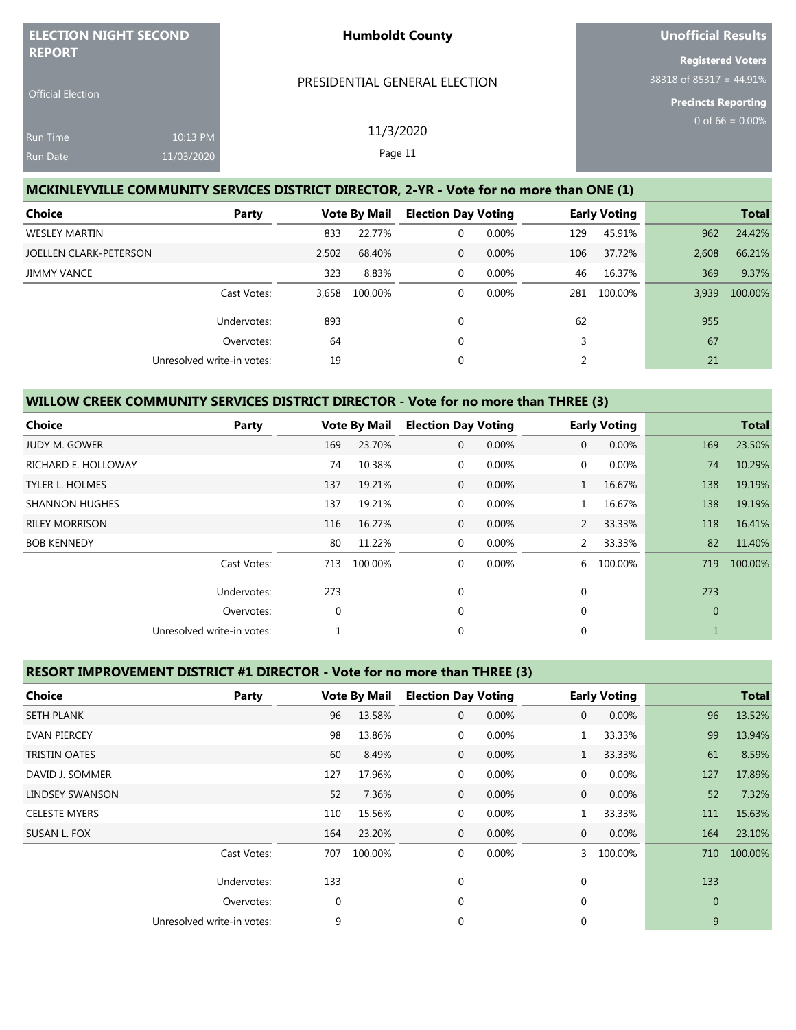| <b>ELECTION NIGHT SECOND</b> |            | <b>Humboldt County</b>                                                                   | Unofficial Results                     |
|------------------------------|------------|------------------------------------------------------------------------------------------|----------------------------------------|
| <b>REPORT</b>                |            |                                                                                          | <b>Registered Voters</b>               |
|                              |            | PRESIDENTIAL GENERAL ELECTION                                                            | $38318$ of $853\overline{17}$ = 44.91% |
| <b>Official Election</b>     |            |                                                                                          | <b>Precincts Reporting</b>             |
| <b>Run Time</b>              | 10:13 PM   | 11/3/2020                                                                                | 0 of $66 = 0.00\%$                     |
| <b>Run Date</b>              | 11/03/2020 | Page 11                                                                                  |                                        |
|                              |            | MCKINLEYVILLE COMMUNITY SERVICES DISTRICT DIRECTOR, 2-YR - Vote for no more than ONE (1) |                                        |

| Choice<br>Party            |       | <b>Vote By Mail</b> |              | <b>Election Day Voting</b> |     | <b>Early Voting</b> |       | <b>Total</b> |
|----------------------------|-------|---------------------|--------------|----------------------------|-----|---------------------|-------|--------------|
| WESLEY MARTIN              | 833   | 22.77%              | $\mathbf 0$  | $0.00\%$                   | 129 | 45.91%              | 962   | 24.42%       |
| JOELLEN CLARK-PETERSON     | 2,502 | 68.40%              | $\mathbf{0}$ | 0.00%                      | 106 | 37.72%              | 2,608 | 66.21%       |
| JIMMY VANCE                | 323   | 8.83%               | 0            | $0.00\%$                   | 46  | 16.37%              | 369   | 9.37%        |
| Cast Votes:                | 3,658 | 100.00%             | 0            | 0.00%                      | 281 | 100.00%             | 3,939 | 100.00%      |
| Undervotes:                | 893   |                     | 0            |                            | 62  |                     | 955   |              |
| Overvotes:                 | 64    |                     | 0            |                            | 3   |                     | 67    |              |
| Unresolved write-in votes: | 19    |                     | 0            |                            |     |                     | 21    |              |
|                            |       |                     |              |                            |     |                     |       |              |

### **WILLOW CREEK COMMUNITY SERVICES DISTRICT DIRECTOR - Vote for no more than THREE (3)**

| <b>Choice</b>              | <b>Vote By Mail</b><br>Party |         | <b>Election Day Voting</b> |       |              | <b>Early Voting</b> |              | <b>Total</b> |
|----------------------------|------------------------------|---------|----------------------------|-------|--------------|---------------------|--------------|--------------|
| <b>JUDY M. GOWER</b>       | 169                          | 23.70%  | $\mathbf 0$                | 0.00% | 0            | 0.00%               | 169          | 23.50%       |
| RICHARD E. HOLLOWAY        | 74                           | 10.38%  | $\mathbf 0$                | 0.00% | 0            | 0.00%               | 74           | 10.29%       |
| <b>TYLER L. HOLMES</b>     | 137                          | 19.21%  | $\overline{0}$             | 0.00% | $\mathbf{1}$ | 16.67%              | 138          | 19.19%       |
| <b>SHANNON HUGHES</b>      | 137                          | 19.21%  | 0                          | 0.00% |              | 16.67%              | 138          | 19.19%       |
| <b>RILEY MORRISON</b>      | 116                          | 16.27%  | $\mathbf{0}$               | 0.00% | 2            | 33.33%              | 118          | 16.41%       |
| <b>BOB KENNEDY</b>         | 80                           | 11.22%  | $\mathbf 0$                | 0.00% | 2            | 33.33%              | 82           | 11.40%       |
| Cast Votes:                | 713                          | 100.00% | $\mathbf 0$                | 0.00% | 6            | 100.00%             | 719          | 100.00%      |
| Undervotes:                | 273                          |         | $\mathbf 0$                |       | 0            |                     | 273          |              |
| Overvotes:                 | 0                            |         | $\mathbf 0$                |       | 0            |                     | $\mathbf{0}$ |              |
| Unresolved write-in votes: |                              |         | $\mathbf 0$                |       | 0            |                     | 1            |              |

### **RESORT IMPROVEMENT DISTRICT #1 DIRECTOR - Vote for no more than THREE (3)**

| <b>Choice</b>        | Party                      |             | <b>Vote By Mail</b> | <b>Election Day Voting</b> |          | <b>Early Voting</b> |         |              | <b>Total</b> |
|----------------------|----------------------------|-------------|---------------------|----------------------------|----------|---------------------|---------|--------------|--------------|
| <b>SETH PLANK</b>    |                            | 96          | 13.58%              | $\overline{0}$             | 0.00%    | $\mathbf{0}$        | 0.00%   | 96           | 13.52%       |
| <b>EVAN PIERCEY</b>  |                            | 98          | 13.86%              | 0                          | 0.00%    |                     | 33.33%  | 99           | 13.94%       |
| <b>TRISTIN OATES</b> |                            | 60          | 8.49%               | $\mathbf{0}$               | $0.00\%$ | $\mathbf{1}$        | 33.33%  | 61           | 8.59%        |
| DAVID J. SOMMER      |                            | 127         | 17.96%              | $\mathbf 0$                | 0.00%    | 0                   | 0.00%   | 127          | 17.89%       |
| LINDSEY SWANSON      |                            | 52          | 7.36%               | $\mathbf 0$                | $0.00\%$ | $\mathbf{0}$        | 0.00%   | 52           | 7.32%        |
| <b>CELESTE MYERS</b> |                            | 110         | 15.56%              | $\mathbf 0$                | 0.00%    |                     | 33.33%  | 111          | 15.63%       |
| SUSAN L. FOX         |                            | 164         | 23.20%              | $\mathbf 0$                | 0.00%    | $\mathbf{0}$        | 0.00%   | 164          | 23.10%       |
|                      | Cast Votes:                | 707         | 100.00%             | $\mathbf{0}$               | 0.00%    | 3.                  | 100.00% | 710          | 100.00%      |
|                      | Undervotes:                | 133         |                     | $\mathbf 0$                |          | 0                   |         | 133          |              |
|                      | Overvotes:                 | $\mathbf 0$ |                     | $\mathbf 0$                |          | 0                   |         | $\mathbf{0}$ |              |
|                      | Unresolved write-in votes: | 9           |                     | $\mathbf 0$                |          | 0                   |         | 9            |              |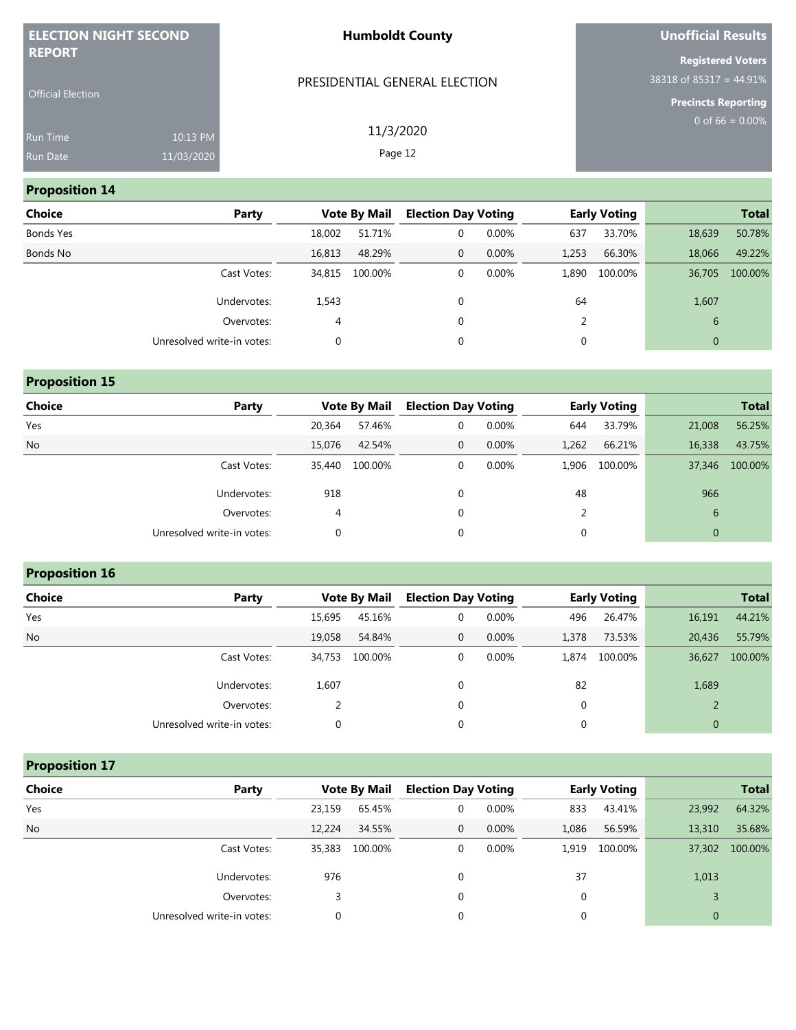| <b>ELECTION NIGHT SECOND</b> |            | <b>Humboldt County</b>        | Unofficial Results         |
|------------------------------|------------|-------------------------------|----------------------------|
| <b>REPORT</b>                |            |                               | <b>Registered Voters</b>   |
|                              |            | PRESIDENTIAL GENERAL ELECTION | $38318$ of 85317 = 44.91%  |
| <b>Official Election</b>     |            |                               | <b>Precincts Reporting</b> |
| Run Time                     | 10:13 PM   | 11/3/2020                     | 0 of 66 = $0.00\%$         |
| Run Date                     | 11/03/2020 | Page 12                       |                            |

## **Proposition 14**

| <b>Choice</b> | Party                      |        | <b>Vote By Mail</b> | <b>Election Day Voting</b> |          | <b>Early Voting</b> |         |                | <b>Total</b> |
|---------------|----------------------------|--------|---------------------|----------------------------|----------|---------------------|---------|----------------|--------------|
| Bonds Yes     |                            | 18,002 | 51.71%              | 0                          | 0.00%    | 637                 | 33.70%  | 18,639         | 50.78%       |
| Bonds No      |                            | 16,813 | 48.29%              | $\overline{0}$             | $0.00\%$ | 1.253               | 66.30%  | 18,066         | 49.22%       |
|               | Cast Votes:                | 34,815 | 100.00%             | 0                          | $0.00\%$ | 1,890               | 100.00% | 36,705         | 100.00%      |
|               | Undervotes:                | 1,543  |                     | $\Omega$                   |          | 64                  |         | 1,607          |              |
|               | Overvotes:                 | 4      |                     | $\Omega$                   |          |                     |         | 6              |              |
|               | Unresolved write-in votes: | 0      |                     | 0                          |          | 0                   |         | $\overline{0}$ |              |

| <b>Proposition 15</b> |                            |        |                     |                            |       |             |                     |             |              |
|-----------------------|----------------------------|--------|---------------------|----------------------------|-------|-------------|---------------------|-------------|--------------|
| <b>Choice</b>         | Party                      |        | <b>Vote By Mail</b> | <b>Election Day Voting</b> |       |             | <b>Early Voting</b> |             | <b>Total</b> |
| Yes                   |                            | 20,364 | 57.46%              | 0                          | 0.00% | 644         | 33.79%              | 21,008      | 56.25%       |
| No                    |                            | 15,076 | 42.54%              | 0                          | 0.00% | 1,262       | 66.21%              | 16,338      | 43.75%       |
|                       | Cast Votes:                | 35,440 | 100.00%             | 0                          | 0.00% | 1.906       | 100.00%             | 37,346      | 100.00%      |
|                       | Undervotes:                | 918    |                     | 0                          |       | 48          |                     | 966         |              |
|                       | Overvotes:                 | 4      |                     | 0                          |       | 2           |                     | 6           |              |
|                       | Unresolved write-in votes: | 0      |                     | 0                          |       | $\mathbf 0$ |                     | $\mathbf 0$ |              |

## **Proposition 16**

| <b>Choice</b> | Party                      |        | <b>Vote By Mail</b> | <b>Election Day Voting</b> |          |       | <b>Early Voting</b> |              | <b>Total</b> |
|---------------|----------------------------|--------|---------------------|----------------------------|----------|-------|---------------------|--------------|--------------|
| Yes           |                            | 15,695 | 45.16%              | $\mathbf 0$                | $0.00\%$ | 496   | 26.47%              | 16,191       | 44.21%       |
| <b>No</b>     |                            | 19,058 | 54.84%              | $\mathbf{0}$               | $0.00\%$ | 1,378 | 73.53%              | 20,436       | 55.79%       |
|               | Cast Votes:                | 34,753 | 100.00%             | $\mathbf 0$                | $0.00\%$ | 1.874 | 100.00%             | 36,627       | 100.00%      |
|               | Undervotes:                | 1,607  |                     | $\Omega$                   |          | 82    |                     | 1,689        |              |
|               | Overvotes:                 |        |                     | $\Omega$                   |          | 0     |                     |              |              |
|               | Unresolved write-in votes: |        |                     | $\mathbf 0$                |          |       |                     | $\mathbf{0}$ |              |

## **Proposition 17**

| Choice    | Party                      |        | <b>Vote By Mail</b> | <b>Election Day Voting</b> |          |       | <b>Early Voting</b> |              | <b>Total</b> |
|-----------|----------------------------|--------|---------------------|----------------------------|----------|-------|---------------------|--------------|--------------|
| Yes       |                            | 23,159 | 65.45%              | $\mathbf 0$                | 0.00%    | 833   | 43.41%              | 23,992       | 64.32%       |
| <b>No</b> |                            | 12,224 | 34.55%              | $\mathbf{0}$               | $0.00\%$ | 1.086 | 56.59%              | 13,310       | 35.68%       |
|           | Cast Votes:                | 35,383 | 100.00%             | 0                          | 0.00%    | 1.919 | 100.00%             | 37,302       | 100.00%      |
|           | Undervotes:                | 976    |                     | $\Omega$                   |          | 37    |                     | 1,013        |              |
|           | Overvotes:                 |        |                     | 0                          |          | 0     |                     |              |              |
|           | Unresolved write-in votes: |        |                     | $\mathbf 0$                |          | 0     |                     | $\mathbf{0}$ |              |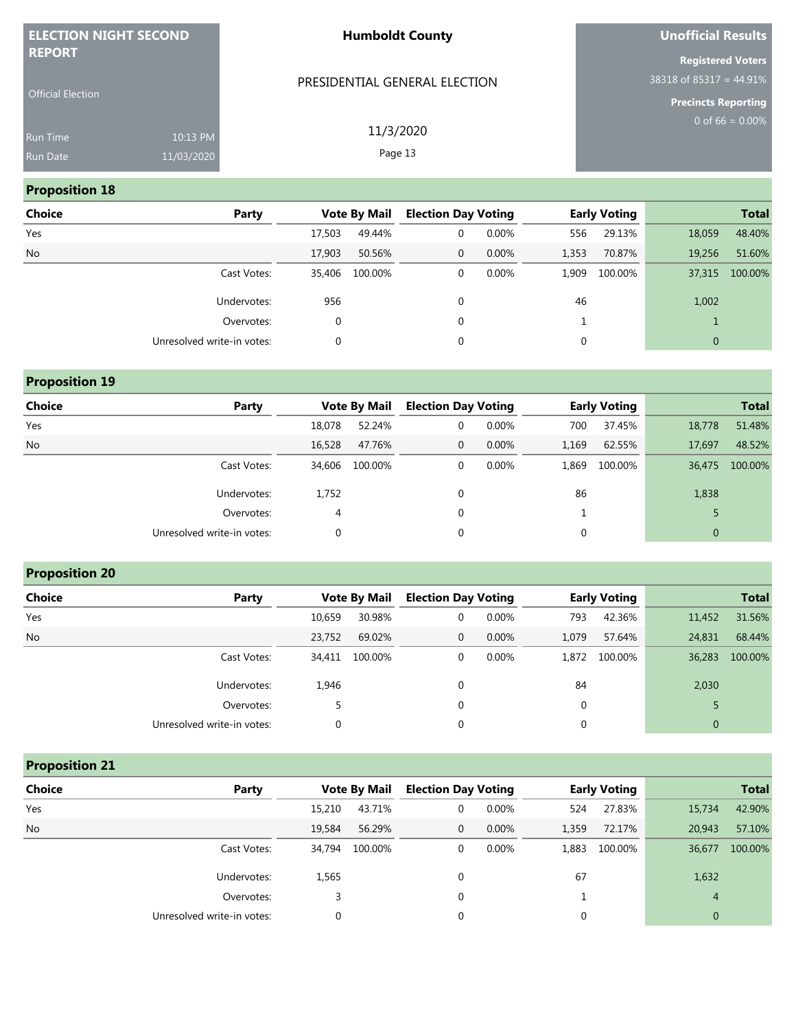| <b>ELECTION NIGHT SECOND</b> |            | <b>Humboldt County</b>        | Unofficial Results        |
|------------------------------|------------|-------------------------------|---------------------------|
| <b>REPORT</b>                |            |                               | <b>Registered Voters</b>  |
| <b>Official Election</b>     |            | PRESIDENTIAL GENERAL ELECTION | $38318$ of 85317 = 44.91% |
|                              |            |                               | Precincts Reporting       |
| <b>Run Time</b>              | 10:13 PM   | 11/3/2020                     | 0 of 66 = $0.00\%$        |
| <b>Run Date</b>              | 11/03/2020 | Page 13                       |                           |
|                              |            |                               |                           |

### **Proposition 18**

| <b>Choice</b> | Party                      |        | <b>Vote By Mail</b> | <b>Election Day Voting</b> |          |       | <b>Early Voting</b> |              | <b>Total</b> |
|---------------|----------------------------|--------|---------------------|----------------------------|----------|-------|---------------------|--------------|--------------|
| Yes           |                            | 17,503 | 49.44%              | 0                          | $0.00\%$ | 556   | 29.13%              | 18,059       | 48.40%       |
| <b>No</b>     |                            | 17,903 | 50.56%              | $\overline{0}$             | $0.00\%$ | 1,353 | 70.87%              | 19,256       | 51.60%       |
|               | Cast Votes:                | 35,406 | 100.00%             | $\mathbf 0$                | 0.00%    | 1.909 | 100.00%             | 37,315       | 100.00%      |
|               | Undervotes:                | 956    |                     |                            |          | 46    |                     | 1,002        |              |
|               | Overvotes:                 | 0      |                     |                            |          |       |                     |              |              |
|               | Unresolved write-in votes: | 0      |                     |                            |          | 0     |                     | $\mathbf{0}$ |              |

| <b>Proposition 1</b> |
|----------------------|
|                      |

| <b>Choice</b> | Party                      |        | <b>Vote By Mail</b> |                | <b>Election Day Voting</b> |              | <b>Early Voting</b> |              | <b>Total</b> |
|---------------|----------------------------|--------|---------------------|----------------|----------------------------|--------------|---------------------|--------------|--------------|
| Yes           |                            | 18,078 | 52.24%              | 0              | 0.00%                      | 700          | 37.45%              | 18,778       | 51.48%       |
| <b>No</b>     |                            | 16,528 | 47.76%              | $\overline{0}$ | $0.00\%$                   | 1,169        | 62.55%              | 17,697       | 48.52%       |
|               | Cast Votes:                | 34,606 | 100.00%             | $\mathbf{0}$   | 0.00%                      | 1.869        | 100.00%             | 36,475       | 100.00%      |
|               | Undervotes:                | 1,752  |                     | $\Omega$       |                            | 86           |                     | 1,838        |              |
|               | Overvotes:                 | 4      |                     | $\mathbf 0$    |                            |              |                     |              |              |
|               | Unresolved write-in votes: | 0      |                     | $\mathbf 0$    |                            | $\mathbf{0}$ |                     | $\mathbf{0}$ |              |

## **Proposition 20**

| <b>Choice</b> | Party                      |        | <b>Vote By Mail</b> | <b>Election Day Voting</b> |          |       | <b>Early Voting</b> |              | <b>Total</b> |
|---------------|----------------------------|--------|---------------------|----------------------------|----------|-------|---------------------|--------------|--------------|
| Yes           |                            | 10,659 | 30.98%              | 0                          | $0.00\%$ | 793   | 42.36%              | 11,452       | 31.56%       |
| <b>No</b>     |                            | 23,752 | 69.02%              | $\overline{0}$             | $0.00\%$ | 1.079 | 57.64%              | 24,831       | 68.44%       |
|               | Cast Votes:                | 34,411 | 100.00%             | 0                          | $0.00\%$ | 1.872 | 100.00%             | 36,283       | 100.00%      |
|               | Undervotes:                | 1,946  |                     | $\Omega$                   |          | 84    |                     | 2,030        |              |
|               | Overvotes:                 |        |                     | $\mathbf{0}$               |          | 0     |                     |              |              |
|               | Unresolved write-in votes: |        |                     | $\mathbf{0}$               |          |       |                     | $\mathbf{0}$ |              |

**Proposition 21**

| <b>Choice</b> | Party                      |        | <b>Vote By Mail</b> | <b>Election Day Voting</b> |          |       | <b>Early Voting</b> |                | <b>Total</b> |
|---------------|----------------------------|--------|---------------------|----------------------------|----------|-------|---------------------|----------------|--------------|
| Yes           |                            | 15,210 | 43.71%              | 0                          | 0.00%    | 524   | 27.83%              | 15,734         | 42.90%       |
| <b>No</b>     |                            | 19,584 | 56.29%              | $\mathbf{0}$               | $0.00\%$ | 1,359 | 72.17%              | 20,943         | 57.10%       |
|               | Cast Votes:                | 34,794 | 100.00%             | 0                          | 0.00%    | 1,883 | 100.00%             | 36,677         | 100.00%      |
|               | Undervotes:                | 1,565  |                     | 0                          |          | 67    |                     | 1,632          |              |
|               | Overvotes:                 |        |                     | $\Omega$                   |          |       |                     | $\overline{4}$ |              |
|               | Unresolved write-in votes: |        |                     | 0                          |          | 0     |                     | $\mathbf{0}$   |              |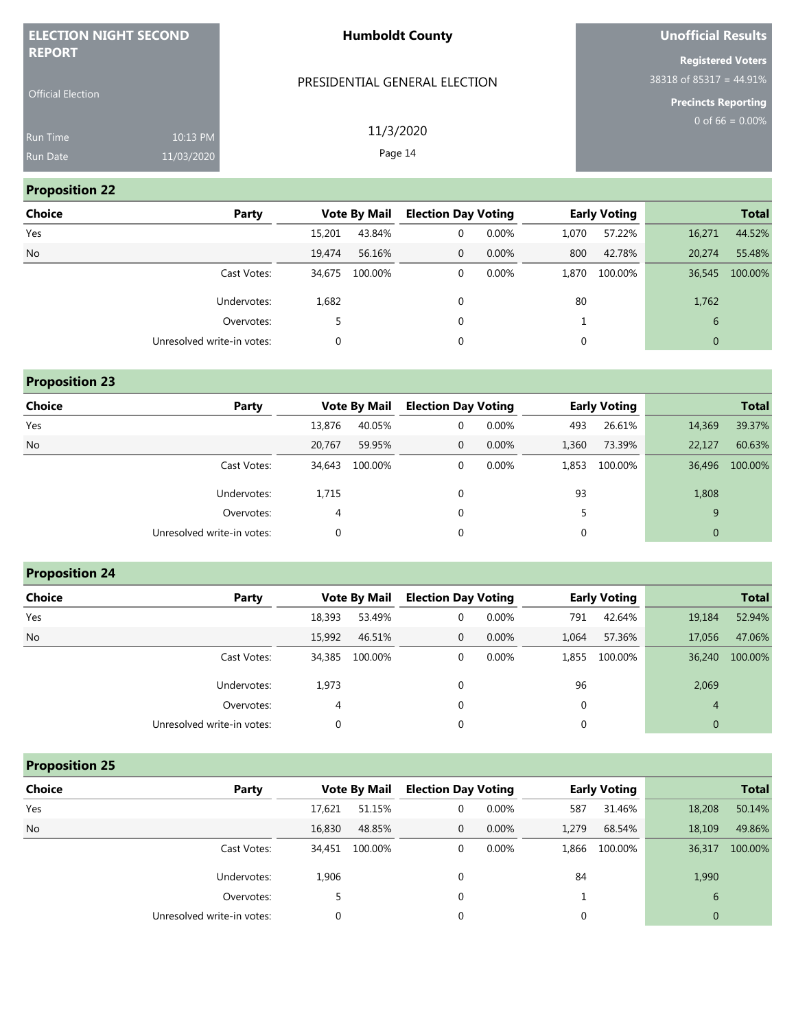| <b>ELECTION NIGHT SECOND</b>              |                        | <b>Humboldt County</b>        | <b>Unofficial Results</b>                                                              |
|-------------------------------------------|------------------------|-------------------------------|----------------------------------------------------------------------------------------|
| <b>REPORT</b><br><b>Official Election</b> |                        | PRESIDENTIAL GENERAL ELECTION | <b>Registered Voters</b><br>$38318$ of $85317 = 44.91\%$<br><b>Precincts Reporting</b> |
| Run Time<br>Run Date                      | 10:13 PM<br>11/03/2020 | 11/3/2020<br>Page 14          | 0 of $66 = 0.00\%$                                                                     |
| <b>Pronosition 22</b>                     |                        |                               |                                                                                        |

| <b>Proposition 22</b> |  |  |  |  |  |
|-----------------------|--|--|--|--|--|
|-----------------------|--|--|--|--|--|

| <b>Choice</b> | Party                      |        | <b>Vote By Mail</b> | <b>Election Day Voting</b> |          |       | <b>Early Voting</b> |                | <b>Total</b> |
|---------------|----------------------------|--------|---------------------|----------------------------|----------|-------|---------------------|----------------|--------------|
| Yes           |                            | 15,201 | 43.84%              | $\mathbf 0$                | $0.00\%$ | 1,070 | 57.22%              | 16,271         | 44.52%       |
| <b>No</b>     |                            | 19,474 | 56.16%              | $\Omega$                   | $0.00\%$ | 800   | 42.78%              | 20,274         | 55.48%       |
|               | Cast Votes:                | 34,675 | 100.00%             | $\mathbf 0$                | 0.00%    | 1,870 | 100.00%             | 36,545         | 100.00%      |
|               | Undervotes:                | 1,682  |                     | $\Omega$                   |          | 80    |                     | 1,762          |              |
|               | Overvotes:                 |        |                     | $\Omega$                   |          |       |                     | 6              |              |
|               | Unresolved write-in votes: | 0      |                     | $\Omega$                   |          | 0     |                     | $\overline{0}$ |              |

| <b>Proposition 23</b> |                            |        |                     |                            |       |             |                     |              |              |
|-----------------------|----------------------------|--------|---------------------|----------------------------|-------|-------------|---------------------|--------------|--------------|
| <b>Choice</b>         | Party                      |        | <b>Vote By Mail</b> | <b>Election Day Voting</b> |       |             | <b>Early Voting</b> |              | <b>Total</b> |
| Yes                   |                            | 13,876 | 40.05%              | 0                          | 0.00% | 493         | 26.61%              | 14,369       | 39.37%       |
| No                    |                            | 20,767 | 59.95%              | $\mathbf{0}$               | 0.00% | 1,360       | 73.39%              | 22,127       | 60.63%       |
|                       | Cast Votes:                | 34,643 | 100.00%             | 0                          | 0.00% | 1,853       | 100.00%             | 36,496       | 100.00%      |
|                       | Undervotes:                | 1,715  |                     | 0                          |       | 93          |                     | 1,808        |              |
|                       | Overvotes:                 | 4      |                     | 0                          |       | 5           |                     | 9            |              |
|                       | Unresolved write-in votes: | 0      |                     |                            |       | $\mathbf 0$ |                     | $\mathbf{0}$ |              |

|  |  | <b>Proposition 24</b> |  |
|--|--|-----------------------|--|
|--|--|-----------------------|--|

| <b>Choice</b> | Party                      |        | <b>Vote By Mail</b> | <b>Election Day Voting</b> |          |              | <b>Early Voting</b> |                | <b>Total</b> |
|---------------|----------------------------|--------|---------------------|----------------------------|----------|--------------|---------------------|----------------|--------------|
| Yes           |                            | 18,393 | 53.49%              | $\mathbf 0$                | 0.00%    | 791          | 42.64%              | 19,184         | 52.94%       |
| <b>No</b>     |                            | 15,992 | 46.51%              | $\mathbf{0}$               | $0.00\%$ | 1.064        | 57.36%              | 17,056         | 47.06%       |
|               | Cast Votes:                | 34,385 | 100.00%             | $\mathbf 0$                | 0.00%    |              | 1,855 100.00%       | 36,240         | 100.00%      |
|               | Undervotes:                | 1,973  |                     | $\Omega$                   |          | 96           |                     | 2,069          |              |
|               | Overvotes:                 | 4      |                     | 0                          |          | $\mathbf{0}$ |                     | $\overline{4}$ |              |
|               | Unresolved write-in votes: |        |                     | $\mathbf 0$                |          | 0            |                     | $\mathbf{0}$   |              |

**Proposition 25**

| <b>Choice</b> | Party                      |        | <b>Vote By Mail</b> | <b>Election Day Voting</b> |          |       | <b>Early Voting</b> |              | <b>Total</b> |
|---------------|----------------------------|--------|---------------------|----------------------------|----------|-------|---------------------|--------------|--------------|
| Yes           |                            | 17.621 | 51.15%              | $\Omega$                   | $0.00\%$ | 587   | 31.46%              | 18,208       | 50.14%       |
| No            |                            | 16,830 | 48.85%              | $\mathbf{0}$               | 0.00%    | 1.279 | 68.54%              | 18,109       | 49.86%       |
|               | Cast Votes:                | 34,451 | 100.00%             | 0                          | 0.00%    | 1,866 | 100.00%             | 36,317       | 100.00%      |
|               | Undervotes:                | 1,906  |                     | $\Omega$                   |          | 84    |                     | 1,990        |              |
|               | Overvotes:                 |        |                     | 0                          |          |       |                     | 6            |              |
|               | Unresolved write-in votes: |        |                     | 0                          |          | 0     |                     | $\mathbf{0}$ |              |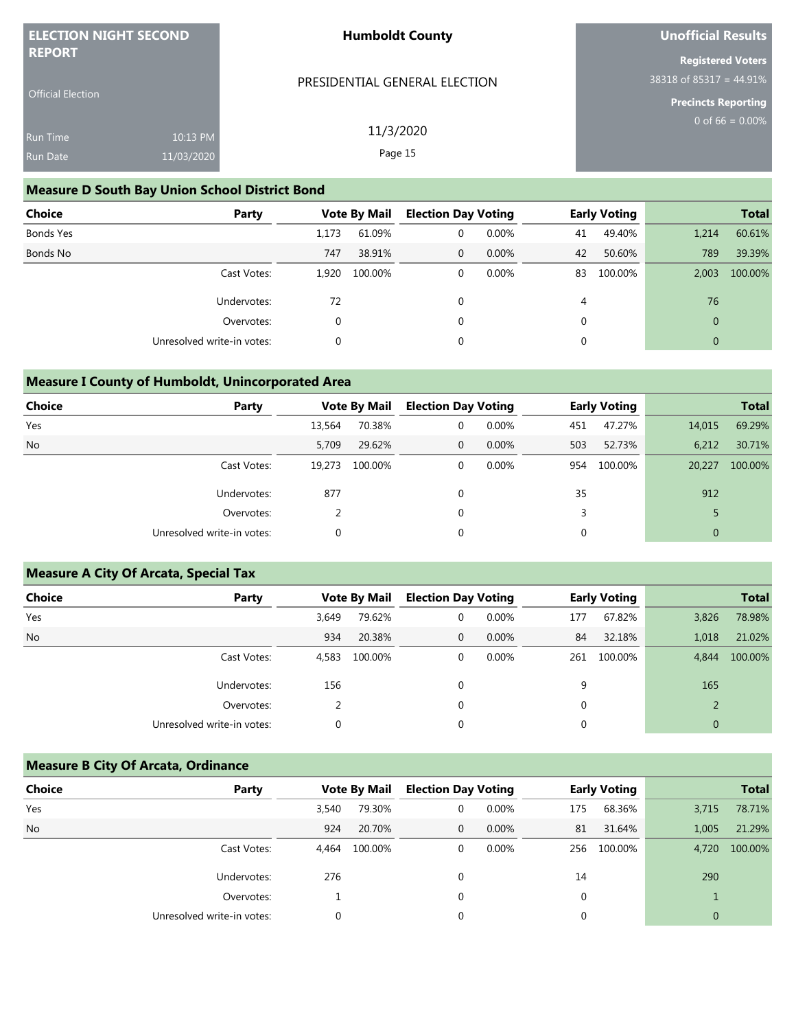| <b>ELECTION NIGHT SECOND</b> |                                                       | <b>Humboldt County</b>        | <b>Unofficial Results</b>                             |
|------------------------------|-------------------------------------------------------|-------------------------------|-------------------------------------------------------|
| <b>REPORT</b>                |                                                       | PRESIDENTIAL GENERAL ELECTION | <b>Registered Voters</b><br>$38318$ of 85317 = 44.91% |
| <b>Official Election</b>     |                                                       |                               | <b>Precincts Reporting</b>                            |
| <b>Run Time</b>              | 10:13 PM                                              | 11/3/2020                     | 0 of $66 = 0.00\%$                                    |
| Run Date                     | 11/03/2020                                            | Page 15                       |                                                       |
|                              | <b>Measure D South Bay Union School District Bond</b> |                               |                                                       |

| Choice    | Party                      |       | <b>Vote By Mail</b> | <b>Election Day Voting</b> |       |    | <b>Early Voting</b> |              | <b>Total</b> |
|-----------|----------------------------|-------|---------------------|----------------------------|-------|----|---------------------|--------------|--------------|
| Bonds Yes |                            | 1,173 | 61.09%              | $\overline{0}$             | 0.00% | 41 | 49.40%              | 1,214        | 60.61%       |
| Bonds No  |                            | 747   | 38.91%              | $\mathbf{0}$               | 0.00% | 42 | 50.60%              | 789          | 39.39%       |
|           | Cast Votes:                | 1.920 | 100.00%             | $\mathbf{0}$               | 0.00% | 83 | 100.00%             | 2.003        | 100.00%      |
|           | Undervotes:                | 72    |                     | $\Omega$                   |       | 4  |                     | 76           |              |
|           | Overvotes:                 |       |                     | 0                          |       | 0  |                     | $\mathbf{0}$ |              |
|           | Unresolved write-in votes: |       |                     | $\mathbf{0}$               |       | 0  |                     | $\mathbf{0}$ |              |

### **Measure I County of Humboldt, Unincorporated Area**

| Choice    | Party                      |        | <b>Vote By Mail</b> | <b>Election Day Voting</b> |          |     | <b>Early Voting</b> |              | <b>Total</b> |
|-----------|----------------------------|--------|---------------------|----------------------------|----------|-----|---------------------|--------------|--------------|
| Yes       |                            | 13,564 | 70.38%              | 0                          | 0.00%    | 451 | 47.27%              | 14,015       | 69.29%       |
| <b>No</b> |                            | 5,709  | 29.62%              | $\mathbf{0}$               | 0.00%    | 503 | 52.73%              | 6.212        | 30.71%       |
|           | Cast Votes:                | 19,273 | 100.00%             | $\mathbf{0}$               | $0.00\%$ | 954 | 100.00%             | 20,227       | 100.00%      |
|           | Undervotes:                | 877    |                     | $\mathbf 0$                |          | 35  |                     | 912          |              |
|           | Overvotes:                 | 2      |                     | $\mathbf 0$                |          | 3   |                     |              |              |
|           | Unresolved write-in votes: | 0      |                     | $\mathbf 0$                |          | 0   |                     | $\mathbf{0}$ |              |
|           |                            |        |                     |                            |          |     |                     |              |              |

## **Measure A City Of Arcata, Special Tax Choice Party Party Vote By Mail Election Day Voting Early Voting Party Total** Yes 3,649 79.62% 0 0.00% 177 67.82% 3,826 78.98% No 934 20.38% 0 0.00% 84 32.18% 1,018 21.02% Cast Votes: 4,583 100.00% 0 0.00% 261 100.00% 4,844 100.00% Undervotes: 156 0 0 9 165 Overvotes: 2 0 0 2 Unresolved write-in votes:  $\begin{array}{ccc} 0 & 0 & 0 \end{array}$

### **Measure B City Of Arcata, Ordinance**

| <b>Choice</b> | Party                      |       | <b>Vote By Mail</b> | <b>Election Day Voting</b> |          |     | <b>Early Voting</b> |              | <b>Total</b> |
|---------------|----------------------------|-------|---------------------|----------------------------|----------|-----|---------------------|--------------|--------------|
| Yes           |                            | 3.540 | 79.30%              | 0                          | 0.00%    | 175 | 68.36%              | 3,715        | 78.71%       |
| <b>No</b>     |                            | 924   | 20.70%              | $\overline{0}$             | $0.00\%$ | 81  | 31.64%              | 1,005        | 21.29%       |
|               | Cast Votes:                | 4.464 | 100.00%             | 0                          | 0.00%    | 256 | 100.00%             | 4.720        | 100.00%      |
|               | Undervotes:                | 276   |                     | 0                          |          | 14  |                     | 290          |              |
|               | Overvotes:                 |       |                     | 0                          |          | 0   |                     |              |              |
|               | Unresolved write-in votes: |       |                     | 0                          |          | 0   |                     | $\mathbf{0}$ |              |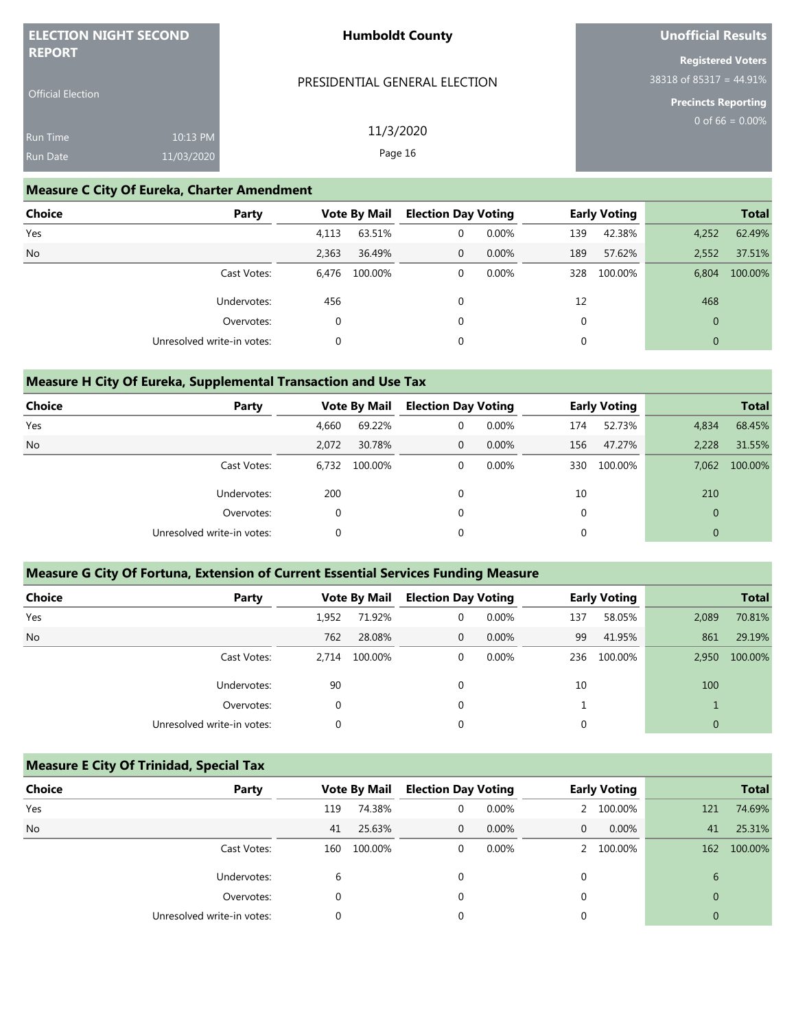| <b>ELECTION NIGHT SECOND</b><br><b>REPORT</b> |                                              | <b>Humboldt County</b>        | Unofficial Results                                    |
|-----------------------------------------------|----------------------------------------------|-------------------------------|-------------------------------------------------------|
|                                               |                                              | PRESIDENTIAL GENERAL ELECTION | <b>Registered Voters</b><br>$38318$ of 85317 = 44.91% |
| <b>Official Election</b>                      |                                              |                               | <b>Precincts Reporting</b>                            |
| <b>Run Time</b>                               | 10:13 PM                                     | 11/3/2020                     | 0 of $66 = 0.00\%$                                    |
| Run Date                                      | 11/03/2020                                   | Page 16                       |                                                       |
|                                               | Measure C City Of Eurolia, Charton Amendment |                               |                                                       |

### **Measure C City Of Eureka, Charter Amendment**

| <b>Choice</b> | Party                      |       | <b>Vote By Mail</b> | <b>Election Day Voting</b> |          |     | <b>Early Voting</b> |              | <b>Total</b> |
|---------------|----------------------------|-------|---------------------|----------------------------|----------|-----|---------------------|--------------|--------------|
| Yes           |                            | 4,113 | 63.51%              | $\mathbf{0}$               | $0.00\%$ | 139 | 42.38%              | 4,252        | 62.49%       |
| <b>No</b>     |                            | 2,363 | 36.49%              | $\mathbf{0}$               | $0.00\%$ | 189 | 57.62%              | 2,552        | 37.51%       |
|               | Cast Votes:                | 6.476 | 100.00%             | $\mathbf{0}$               | 0.00%    | 328 | 100.00%             | 6,804        | 100.00%      |
|               | Undervotes:                | 456   |                     | $\mathbf 0$                |          | 12  |                     | 468          |              |
|               | Overvotes:                 | 0     |                     | $\mathbf 0$                |          | 0   |                     | $\mathbf{0}$ |              |
|               | Unresolved write-in votes: | 0     |                     | $\mathbf 0$                |          | 0   |                     | $\mathbf{0}$ |              |

### **Measure H City Of Eureka, Supplemental Transaction and Use Tax**

| <b>Choice</b><br>Party     |       | <b>Vote By Mail</b> | <b>Election Day Voting</b> |       |     | <b>Early Voting</b> |                | <b>Total</b> |
|----------------------------|-------|---------------------|----------------------------|-------|-----|---------------------|----------------|--------------|
| Yes                        | 4,660 | 69.22%              | 0                          | 0.00% | 174 | 52.73%              | 4,834          | 68.45%       |
| <b>No</b>                  | 2.072 | 30.78%              | $\overline{0}$             | 0.00% | 156 | 47.27%              | 2,228          | 31.55%       |
| Cast Votes:                | 6.732 | 100.00%             | $\mathbf 0$                | 0.00% | 330 | 100.00%             | 7,062          | 100.00%      |
| Undervotes:                | 200   |                     | 0                          |       | 10  |                     | 210            |              |
| Overvotes:                 | 0     |                     | 0                          |       | 0   |                     | $\mathbf{0}$   |              |
| Unresolved write-in votes: | 0     |                     | 0                          |       | 0   |                     | $\overline{0}$ |              |

### **Measure G City Of Fortuna, Extension of Current Essential Services Funding Measure**

| <b>Choice</b> | Party                      |       | <b>Vote By Mail</b> | <b>Election Day Voting</b> |          |     | <b>Early Voting</b> |                | <b>Total</b> |
|---------------|----------------------------|-------|---------------------|----------------------------|----------|-----|---------------------|----------------|--------------|
| Yes           |                            | 1,952 | 71.92%              | 0                          | $0.00\%$ | 137 | 58.05%              | 2,089          | 70.81%       |
| <b>No</b>     |                            | 762   | 28.08%              | $\mathbf{0}$               | $0.00\%$ | 99  | 41.95%              | 861            | 29.19%       |
|               | Cast Votes:                | 2.714 | 100.00%             | 0                          | 0.00%    | 236 | 100.00%             | 2,950          | 100.00%      |
|               | Undervotes:                | 90    |                     | 0                          |          | 10  |                     | 100            |              |
|               | Overvotes:                 |       |                     | 0                          |          |     |                     |                |              |
|               | Unresolved write-in votes: |       |                     | $\mathbf{0}$               |          | 0   |                     | $\overline{0}$ |              |

### **Measure E City Of Trinidad, Special Tax**

| Choice    | Party                      |     | <b>Vote By Mail</b> | <b>Election Day Voting</b> |          |   | <b>Early Voting</b> |                | <b>Total</b> |
|-----------|----------------------------|-----|---------------------|----------------------------|----------|---|---------------------|----------------|--------------|
| Yes       |                            | 119 | 74.38%              | 0                          | $0.00\%$ |   | 100.00%             | 121            | 74.69%       |
| <b>No</b> |                            | 41  | 25.63%              | $\mathbf{0}$               | 0.00%    | 0 | 0.00%               | 41             | 25.31%       |
|           | Cast Votes:                | 160 | 100.00%             | 0                          | 0.00%    |   | 100.00%             | 162            | 100.00%      |
|           | Undervotes:                | b   |                     | 0                          |          | 0 |                     | 6              |              |
|           | Overvotes:                 | 0   |                     | $\Omega$                   |          | 0 |                     | $\overline{0}$ |              |
|           | Unresolved write-in votes: |     |                     |                            |          | 0 |                     | $\overline{0}$ |              |